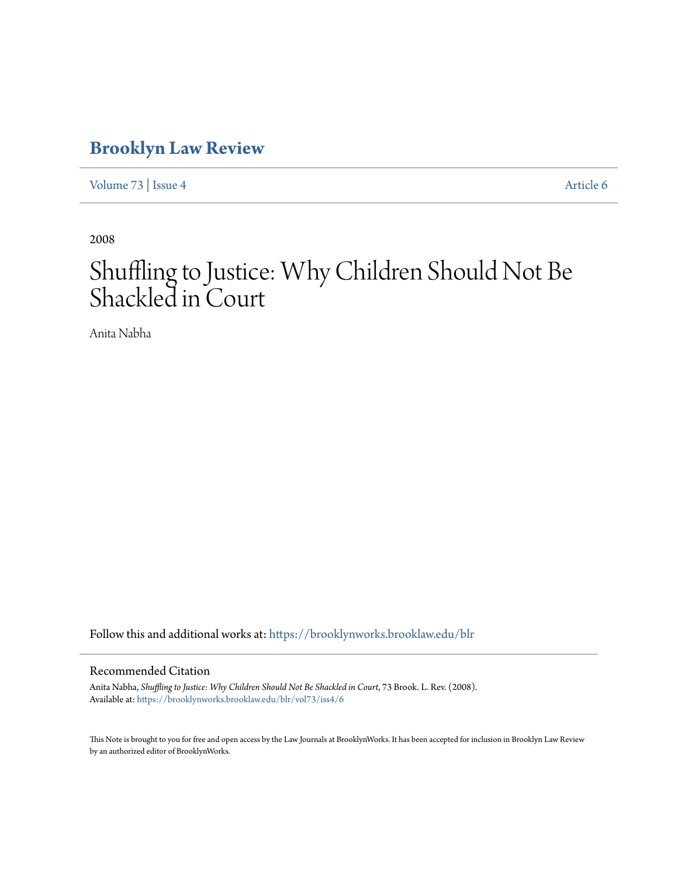# **[Brooklyn Law Review](https://brooklynworks.brooklaw.edu/blr?utm_source=brooklynworks.brooklaw.edu%2Fblr%2Fvol73%2Fiss4%2F6&utm_medium=PDF&utm_campaign=PDFCoverPages)**

[Volume 73](https://brooklynworks.brooklaw.edu/blr/vol73?utm_source=brooklynworks.brooklaw.edu%2Fblr%2Fvol73%2Fiss4%2F6&utm_medium=PDF&utm_campaign=PDFCoverPages) | [Issue 4](https://brooklynworks.brooklaw.edu/blr/vol73/iss4?utm_source=brooklynworks.brooklaw.edu%2Fblr%2Fvol73%2Fiss4%2F6&utm_medium=PDF&utm_campaign=PDFCoverPages) [Article 6](https://brooklynworks.brooklaw.edu/blr/vol73/iss4/6?utm_source=brooklynworks.brooklaw.edu%2Fblr%2Fvol73%2Fiss4%2F6&utm_medium=PDF&utm_campaign=PDFCoverPages)

2008

# Shuffling to Justice: Why Children Should Not Be Shackled in Court

Anita Nabha

Follow this and additional works at: [https://brooklynworks.brooklaw.edu/blr](https://brooklynworks.brooklaw.edu/blr?utm_source=brooklynworks.brooklaw.edu%2Fblr%2Fvol73%2Fiss4%2F6&utm_medium=PDF&utm_campaign=PDFCoverPages)

## Recommended Citation

Anita Nabha, *Shuffling to Justice: Why Children Should Not Be Shackled in Court*, 73 Brook. L. Rev. (2008). Available at: [https://brooklynworks.brooklaw.edu/blr/vol73/iss4/6](https://brooklynworks.brooklaw.edu/blr/vol73/iss4/6?utm_source=brooklynworks.brooklaw.edu%2Fblr%2Fvol73%2Fiss4%2F6&utm_medium=PDF&utm_campaign=PDFCoverPages)

This Note is brought to you for free and open access by the Law Journals at BrooklynWorks. It has been accepted for inclusion in Brooklyn Law Review by an authorized editor of BrooklynWorks.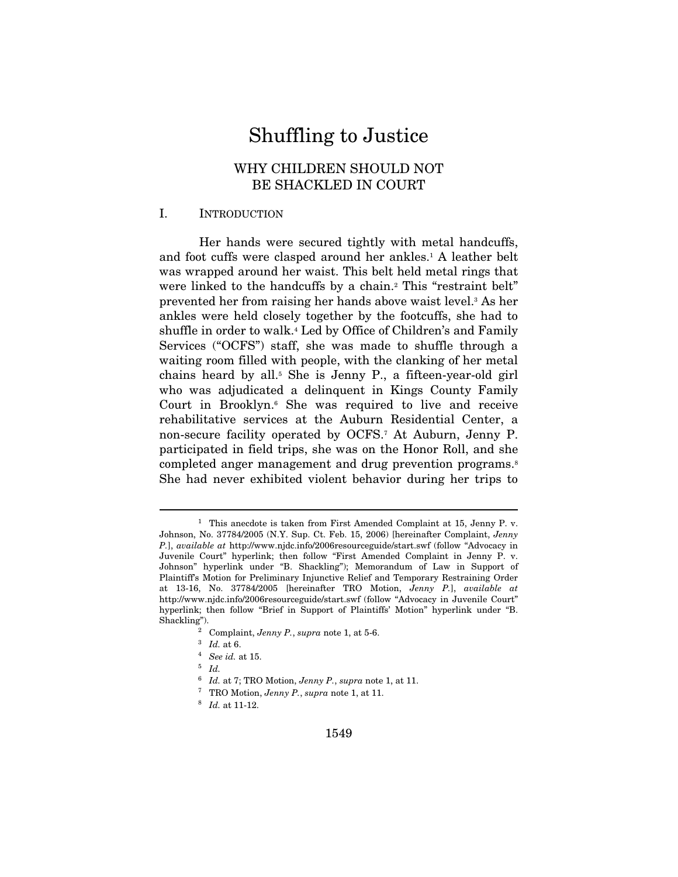# Shuffling to Justice

# WHY CHILDREN SHOULD NOT BE SHACKLED IN COURT

#### I. INTRODUCTION

Her hands were secured tightly with metal handcuffs, and foot cuffs were clasped around her ankles.1 A leather belt was wrapped around her waist. This belt held metal rings that were linked to the handcuffs by a chain.<sup>2</sup> This "restraint belt" prevented her from raising her hands above waist level.3 As her ankles were held closely together by the footcuffs, she had to shuffle in order to walk.4 Led by Office of Children's and Family Services ("OCFS") staff, she was made to shuffle through a waiting room filled with people, with the clanking of her metal chains heard by all.5 She is Jenny P., a fifteen-year-old girl who was adjudicated a delinquent in Kings County Family Court in Brooklyn.6 She was required to live and receive rehabilitative services at the Auburn Residential Center, a non-secure facility operated by OCFS.7 At Auburn, Jenny P. participated in field trips, she was on the Honor Roll, and she completed anger management and drug prevention programs.<sup>8</sup> She had never exhibited violent behavior during her trips to

<sup>&</sup>lt;sup>1</sup> This anecdote is taken from First Amended Complaint at 15, Jenny P. v. Johnson, No. 37784/2005 (N.Y. Sup. Ct. Feb. 15, 2006) [hereinafter Complaint, Jenny P.], available at http://www.njdc.info/2006resourceguide/start.swf (follow "Advocacy in Juvenile Court" hyperlink; then follow "First Amended Complaint in Jenny P. v. Johnson" hyperlink under "B. Shackling"); Memorandum of Law in Support of Plaintiff's Motion for Preliminary Injunctive Relief and Temporary Restraining Order at 13-16, No. 37784/2005 [hereinafter TRO Motion, Jenny P.], available at http://www.njdc.info/2006resourceguide/start.swf (follow "Advocacy in Juvenile Court" hyperlink; then follow "Brief in Support of Plaintiffs' Motion" hyperlink under "B.

<sup>%</sup> Complaint, *Jenny P.*, *supra* note 1, at 5-6.<br>
<sup>3</sup> Id. at 6.<br>
<sup>4</sup> See id. at 15.<br>
<sup>5</sup> Id.

<sup>&</sup>lt;sup>6</sup> Id. at 7; TRO Motion, Jenny P., supra note 1, at 11.<br><sup>7</sup> TRO Motion, Jenny P., supra note 1, at 11.<br><sup>8</sup> Id. at 11-12.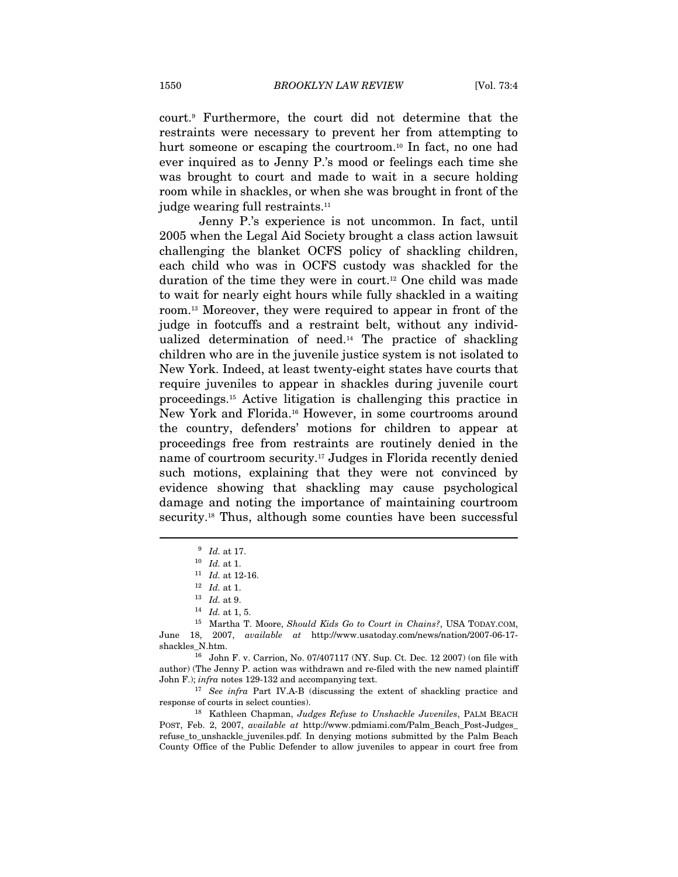court.9 Furthermore, the court did not determine that the restraints were necessary to prevent her from attempting to hurt someone or escaping the courtroom.<sup>10</sup> In fact, no one had ever inquired as to Jenny P.'s mood or feelings each time she was brought to court and made to wait in a secure holding room while in shackles, or when she was brought in front of the judge wearing full restraints.<sup>11</sup>

Jenny P.'s experience is not uncommon. In fact, until 2005 when the Legal Aid Society brought a class action lawsuit challenging the blanket OCFS policy of shackling children, each child who was in OCFS custody was shackled for the duration of the time they were in court.12 One child was made to wait for nearly eight hours while fully shackled in a waiting room.13 Moreover, they were required to appear in front of the judge in footcuffs and a restraint belt, without any individualized determination of need.14 The practice of shackling children who are in the juvenile justice system is not isolated to New York. Indeed, at least twenty-eight states have courts that require juveniles to appear in shackles during juvenile court proceedings.15 Active litigation is challenging this practice in New York and Florida.16 However, in some courtrooms around the country, defenders' motions for children to appear at proceedings free from restraints are routinely denied in the name of courtroom security.17 Judges in Florida recently denied such motions, explaining that they were not convinced by evidence showing that shackling may cause psychological damage and noting the importance of maintaining courtroom security.<sup>18</sup> Thus, although some counties have been successful

 $\overline{a}$ 

response of courts in select counties). 18 Kathleen Chapman, Judges Refuse to Unshackle Juveniles, PALM BEACH

POST, Feb. 2, 2007, available at http://www.pdmiami.com/Palm\_Beach\_Post-Judges\_ refuse\_to\_unshackle\_juveniles.pdf. In denying motions submitted by the Palm Beach County Office of the Public Defender to allow juveniles to appear in court free from

 $\begin{array}{c} 9 \text{ } Id. \text{ at } 17. \ 10 \text{ } Id. \text{ at } 1. \end{array}$ <br>  $\begin{array}{c} 11 \text{ } Id. \text{ at } 12\text{-}16. \end{array}$ 

<sup>12</sup> Id. at 1.<br>
13 Id. at 9.<br>
14 Id. at 1, 5.<br>
15 Martha T. Moore, *Should Kids Go to Court in Chains?*, USA TODAY.COM, June 18, 2007, available at http://www.usatoday.com/news/nation/2007-06-17 shackles\_N.htm. 16 John F. v. Carrion, No. 07/407117 (NY. Sup. Ct. Dec. 12 2007) (on file with

author) (The Jenny P. action was withdrawn and re-filed with the new named plaintiff John F.); infra notes 129-132 and accompanying text. 17 See infra Part IV.A-B (discussing the extent of shackling practice and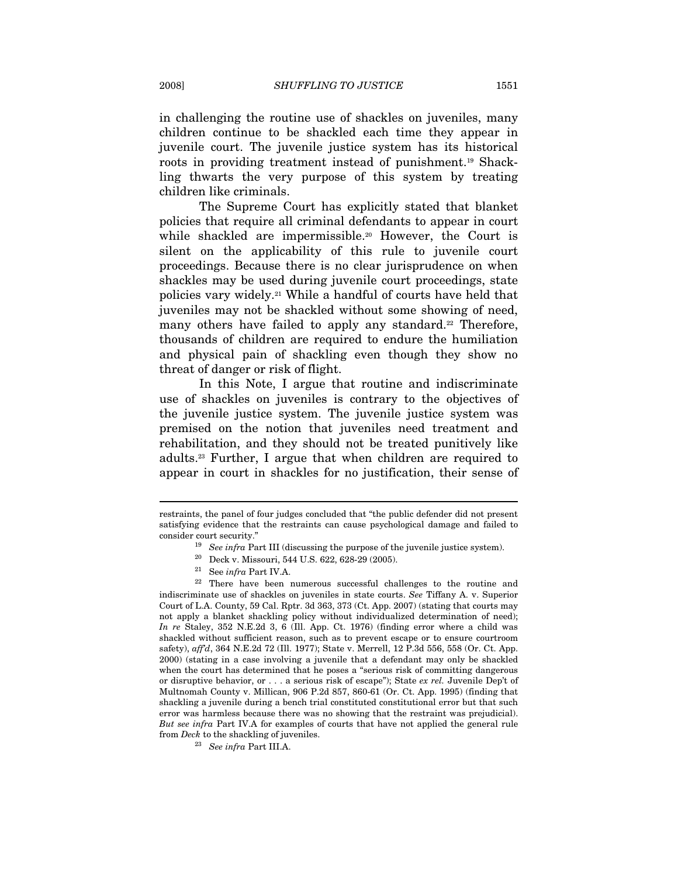in challenging the routine use of shackles on juveniles, many children continue to be shackled each time they appear in juvenile court. The juvenile justice system has its historical roots in providing treatment instead of punishment.19 Shackling thwarts the very purpose of this system by treating children like criminals.

The Supreme Court has explicitly stated that blanket policies that require all criminal defendants to appear in court while shackled are impermissible.<sup>20</sup> However, the Court is silent on the applicability of this rule to juvenile court proceedings. Because there is no clear jurisprudence on when shackles may be used during juvenile court proceedings, state policies vary widely.21 While a handful of courts have held that juveniles may not be shackled without some showing of need, many others have failed to apply any standard.<sup>22</sup> Therefore, thousands of children are required to endure the humiliation and physical pain of shackling even though they show no threat of danger or risk of flight.

In this Note, I argue that routine and indiscriminate use of shackles on juveniles is contrary to the objectives of the juvenile justice system. The juvenile justice system was premised on the notion that juveniles need treatment and rehabilitation, and they should not be treated punitively like adults.23 Further, I argue that when children are required to appear in court in shackles for no justification, their sense of

restraints, the panel of four judges concluded that "the public defender did not present satisfying evidence that the restraints can cause psychological damage and failed to consider court security." 19 See infra Part III (discussing the purpose of the juvenile justice system). 20 Deck v. Missouri, 544 U.S. 622, 628-29 (2005).

 $\stackrel{21}{2}$  See  $infra$  Part IV.A.  $\stackrel{22}{2}$  There have been numerous successful challenges to the routine and indiscriminate use of shackles on juveniles in state courts. See Tiffany A. v. Superior Court of L.A. County, 59 Cal. Rptr. 3d 363, 373 (Ct. App. 2007) (stating that courts may not apply a blanket shackling policy without individualized determination of need); In re Staley, 352 N.E.2d 3, 6 (Ill. App. Ct. 1976) (finding error where a child was shackled without sufficient reason, such as to prevent escape or to ensure courtroom safety),  $affd$ , 364 N.E.2d 72 (Ill. 1977); State v. Merrell, 12 P.3d 556, 558 (Or. Ct. App. 2000) (stating in a case involving a juvenile that a defendant may only be shackled when the court has determined that he poses a "serious risk of committing dangerous or disruptive behavior, or  $\dots$  a serious risk of escape"); State ex rel. Juvenile Dep't of Multnomah County v. Millican, 906 P.2d 857, 860-61 (Or. Ct. App. 1995) (finding that shackling a juvenile during a bench trial constituted constitutional error but that such error was harmless because there was no showing that the restraint was prejudicial). But see infra Part IV.A for examples of courts that have not applied the general rule from Deck to the shackling of juveniles.

<sup>23</sup> See infra Part III.A.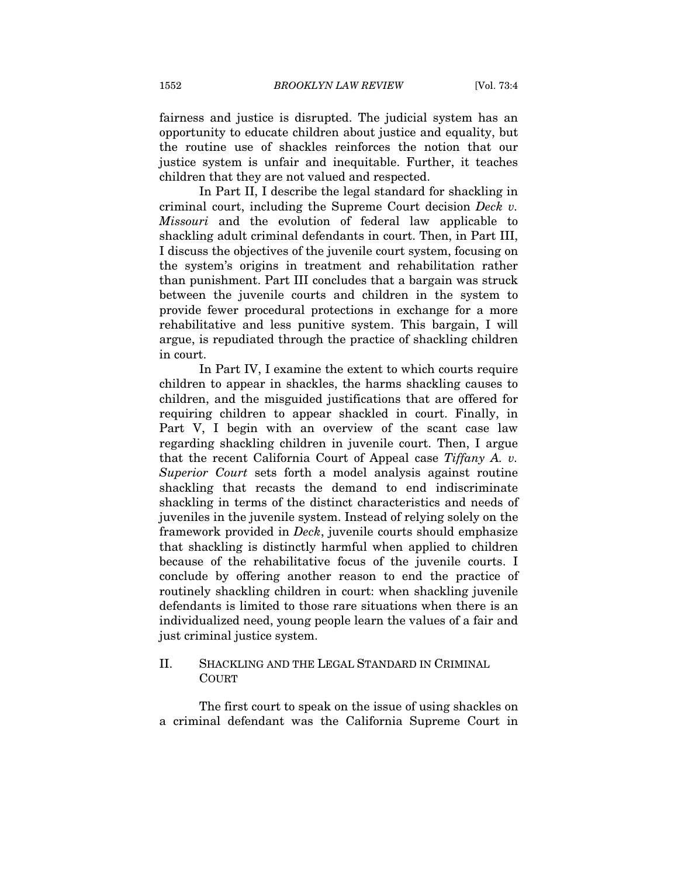fairness and justice is disrupted. The judicial system has an opportunity to educate children about justice and equality, but the routine use of shackles reinforces the notion that our justice system is unfair and inequitable. Further, it teaches children that they are not valued and respected.

In Part II, I describe the legal standard for shackling in criminal court, including the Supreme Court decision Deck v. Missouri and the evolution of federal law applicable to shackling adult criminal defendants in court. Then, in Part III, I discuss the objectives of the juvenile court system, focusing on the system's origins in treatment and rehabilitation rather than punishment. Part III concludes that a bargain was struck between the juvenile courts and children in the system to provide fewer procedural protections in exchange for a more rehabilitative and less punitive system. This bargain, I will argue, is repudiated through the practice of shackling children in court.

In Part IV, I examine the extent to which courts require children to appear in shackles, the harms shackling causes to children, and the misguided justifications that are offered for requiring children to appear shackled in court. Finally, in Part V, I begin with an overview of the scant case law regarding shackling children in juvenile court. Then, I argue that the recent California Court of Appeal case Tiffany A. v. Superior Court sets forth a model analysis against routine shackling that recasts the demand to end indiscriminate shackling in terms of the distinct characteristics and needs of juveniles in the juvenile system. Instead of relying solely on the framework provided in Deck, juvenile courts should emphasize that shackling is distinctly harmful when applied to children because of the rehabilitative focus of the juvenile courts. I conclude by offering another reason to end the practice of routinely shackling children in court: when shackling juvenile defendants is limited to those rare situations when there is an individualized need, young people learn the values of a fair and just criminal justice system.

## II. SHACKLING AND THE LEGAL STANDARD IN CRIMINAL **COURT**

The first court to speak on the issue of using shackles on a criminal defendant was the California Supreme Court in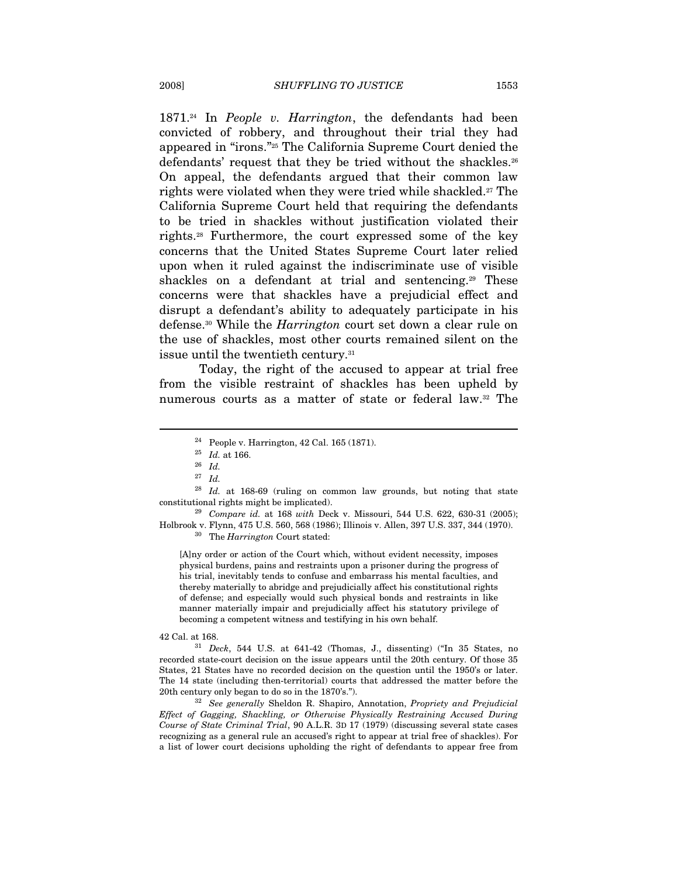$1871.^{24}$  In *People v. Harrington*, the defendants had been convicted of robbery, and throughout their trial they had appeared in "irons."25 The California Supreme Court denied the defendants' request that they be tried without the shackles.<sup>26</sup> On appeal, the defendants argued that their common law rights were violated when they were tried while shackled.<sup>27</sup> The California Supreme Court held that requiring the defendants to be tried in shackles without justification violated their rights.28 Furthermore, the court expressed some of the key concerns that the United States Supreme Court later relied upon when it ruled against the indiscriminate use of visible shackles on a defendant at trial and sentencing.<sup>29</sup> These concerns were that shackles have a prejudicial effect and disrupt a defendant's ability to adequately participate in his defense.30 While the Harrington court set down a clear rule on the use of shackles, most other courts remained silent on the issue until the twentieth century.31

Today, the right of the accused to appear at trial free from the visible restraint of shackles has been upheld by numerous courts as a matter of state or federal law.32 The

 $\overline{a}$ 

[A]ny order or action of the Court which, without evident necessity, imposes physical burdens, pains and restraints upon a prisoner during the progress of his trial, inevitably tends to confuse and embarrass his mental faculties, and thereby materially to abridge and prejudicially affect his constitutional rights of defense; and especially would such physical bonds and restraints in like manner materially impair and prejudicially affect his statutory privilege of becoming a competent witness and testifying in his own behalf.

42 Cal. at 168.  $31$  Deck, 544 U.S. at 641-42 (Thomas, J., dissenting) ("In 35 States, no recorded state-court decision on the issue appears until the 20th century. Of those 35 States, 21 States have no recorded decision on the question until the 1950's or later. The 14 state (including then-territorial) courts that addressed the matter before the 20th century only began to do so in the 1870's.").

<sup>32</sup> See generally Sheldon R. Shapiro, Annotation, Propriety and Prejudicial Effect of Gagging, Shackling, or Otherwise Physically Restraining Accused During Course of State Criminal Trial, 90 A.L.R. 3D 17 (1979) (discussing several state cases recognizing as a general rule an accused's right to appear at trial free of shackles). For a list of lower court decisions upholding the right of defendants to appear free from

<sup>24</sup> People v. Harrington, 42 Cal. 165 (1871).

 $^{25}\,$   $Id.$  at 166.

 $26$  *Id.* 

 $^{27} \;$  Id.

 $28$  Id. at 168-69 (ruling on common law grounds, but noting that state constitutional rights might be implicated). 29 Compare id. at 168 with Deck v. Missouri, 544 U.S. 622, 630-31 (2005);

Holbrook v. Flynn, 475 U.S. 560, 568 (1986); Illinois v. Allen, 397 U.S. 337, 344 (1970).  $$^{30}\,$  The  $Harrington$  Court stated: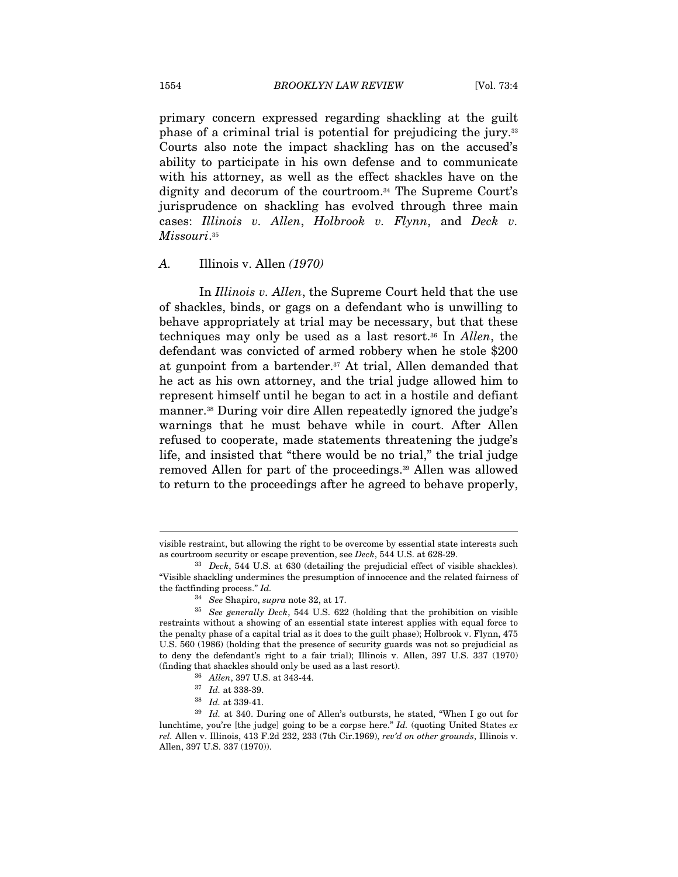primary concern expressed regarding shackling at the guilt phase of a criminal trial is potential for prejudicing the jury.33 Courts also note the impact shackling has on the accused's ability to participate in his own defense and to communicate with his attorney, as well as the effect shackles have on the dignity and decorum of the courtroom.34 The Supreme Court's jurisprudence on shackling has evolved through three main cases: Illinois v. Allen, Holbrook v. Flynn, and Deck v. Missouri.<sup>35</sup>

#### A. Illinois v. Allen (1970)

In *Illinois v. Allen*, the Supreme Court held that the use of shackles, binds, or gags on a defendant who is unwilling to behave appropriately at trial may be necessary, but that these techniques may only be used as a last resort.<sup>36</sup> In Allen, the defendant was convicted of armed robbery when he stole \$200 at gunpoint from a bartender.37 At trial, Allen demanded that he act as his own attorney, and the trial judge allowed him to represent himself until he began to act in a hostile and defiant manner.38 During voir dire Allen repeatedly ignored the judge's warnings that he must behave while in court. After Allen refused to cooperate, made statements threatening the judge's life, and insisted that "there would be no trial," the trial judge removed Allen for part of the proceedings.39 Allen was allowed to return to the proceedings after he agreed to behave properly,

visible restraint, but allowing the right to be overcome by essential state interests such as courtroom security or escape prevention, see  $Deck$ , 544 U.S. at 628-29.<br><sup>33</sup> Deck, 544 U.S. at 630 (detailing the prejudicial effect of visible shackles).

<sup>&</sup>quot;Visible shackling undermines the presumption of innocence and the related fairness of the factfinding process." Id.

<sup>&</sup>lt;sup>34</sup> See Shapiro, supra note 32, at 17.<br><sup>35</sup> See generally Deck, 544 U.S. 622 (holding that the prohibition on visible restraints without a showing of an essential state interest applies with equal force to the penalty phase of a capital trial as it does to the guilt phase); Holbrook v. Flynn, 475 U.S. 560 (1986) (holding that the presence of security guards was not so prejudicial as to deny the defendant's right to a fair trial); Illinois v. Allen, 397 U.S. 337 (1970) %) (finding that shackles should only be used as a last resort).<br><sup>36</sup> Allen, 397 U.S. at 343-44.<br><sup>37</sup> Id. at 338-39.<br><sup>38</sup> Id. at 339-41.<br><sup>39</sup> Id. at 340. During one of Allen's outbursts, he stated, "When I go out for

lunchtime, you're [the judge] going to be a corpse here."  $Id$ . (quoting United States  $ex$ rel. Allen v. Illinois, 413 F.2d 232, 233 (7th Cir.1969), rev'd on other grounds, Illinois v. Allen, 397 U.S. 337 (1970)).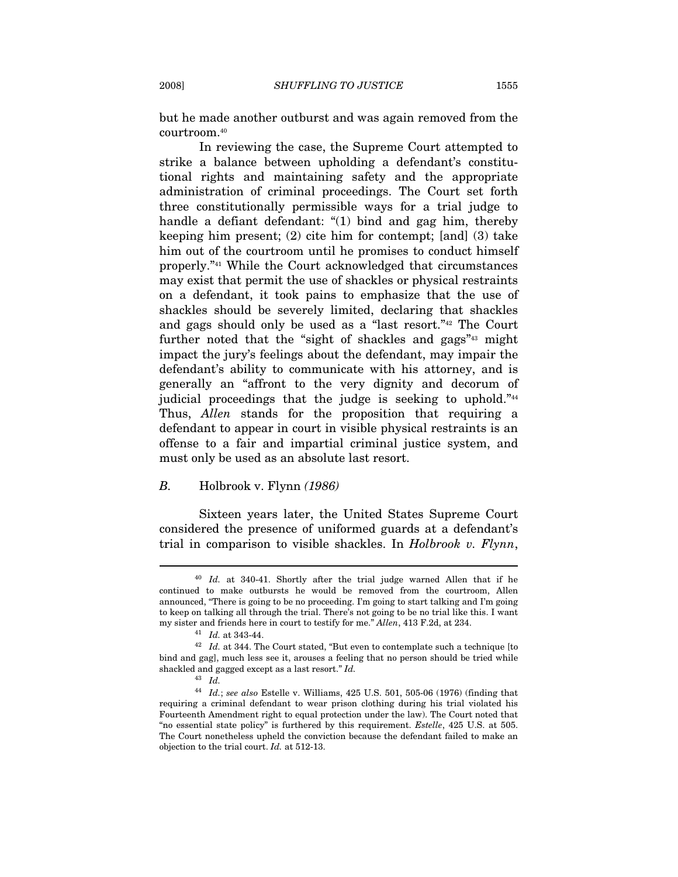but he made another outburst and was again removed from the courtroom.40

In reviewing the case, the Supreme Court attempted to strike a balance between upholding a defendant's constitutional rights and maintaining safety and the appropriate administration of criminal proceedings. The Court set forth three constitutionally permissible ways for a trial judge to handle a defiant defendant: "(1) bind and gag him, thereby keeping him present; (2) cite him for contempt; [and] (3) take him out of the courtroom until he promises to conduct himself properly."41 While the Court acknowledged that circumstances may exist that permit the use of shackles or physical restraints on a defendant, it took pains to emphasize that the use of shackles should be severely limited, declaring that shackles and gags should only be used as a "last resort."42 The Court further noted that the "sight of shackles and gags"<sup>43</sup> might impact the jury's feelings about the defendant, may impair the defendant's ability to communicate with his attorney, and is generally an "affront to the very dignity and decorum of judicial proceedings that the judge is seeking to uphold."44 Thus, Allen stands for the proposition that requiring a defendant to appear in court in visible physical restraints is an offense to a fair and impartial criminal justice system, and must only be used as an absolute last resort.

#### B. Holbrook v. Flynn (1986)

Sixteen years later, the United States Supreme Court considered the presence of uniformed guards at a defendant's trial in comparison to visible shackles. In Holbrook v. Flynn,

<sup>&</sup>lt;sup>40</sup> Id. at 340-41. Shortly after the trial judge warned Allen that if he continued to make outbursts he would be removed from the courtroom, Allen announced, "There is going to be no proceeding. I'm going to start talking and I'm going to keep on talking all through the trial. There's not going to be no trial like this. I want my sister and friends here in court to testify for me." Allen, 413 F.2d, at 234.  $41$  Id. at 343-44.

 $42$  Id. at 344. The Court stated, "But even to contemplate such a technique [to bind and gag], much less see it, arouses a feeling that no person should be tried while shackled and gagged except as a last resort." Id.

<sup>43</sup> Id.

 $^{44}$   $\,Id.;$  see also Estelle v. Williams, 425 U.S. 501, 505-06 (1976) (finding that requiring a criminal defendant to wear prison clothing during his trial violated his Fourteenth Amendment right to equal protection under the law). The Court noted that "no essential state policy" is furthered by this requirement. Estelle, 425 U.S. at 505. The Court nonetheless upheld the conviction because the defendant failed to make an objection to the trial court. Id. at 512-13.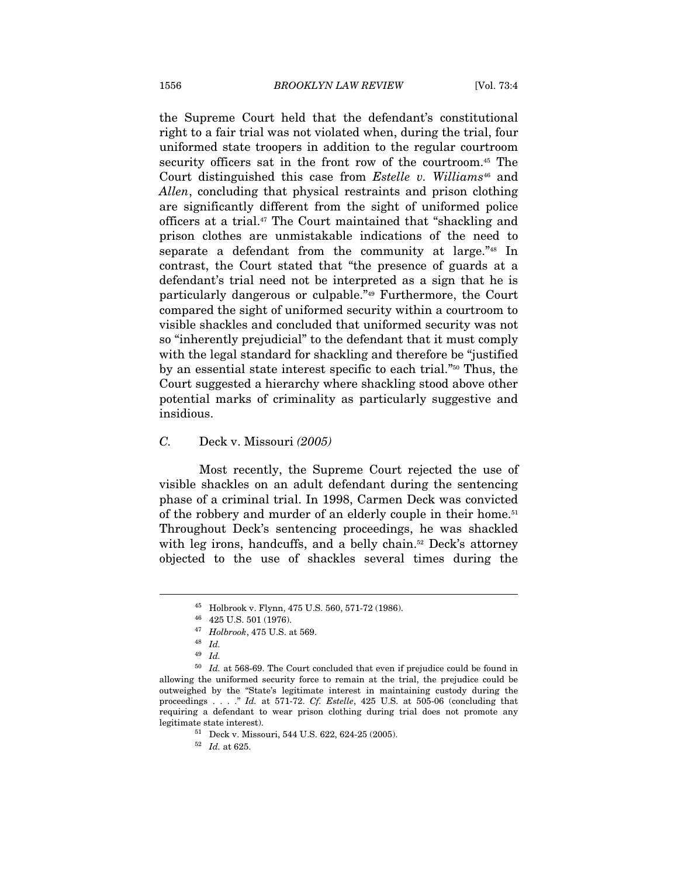the Supreme Court held that the defendant's constitutional right to a fair trial was not violated when, during the trial, four uniformed state troopers in addition to the regular courtroom security officers sat in the front row of the courtroom.45 The Court distinguished this case from  $\emph{Estelle}$  v. Williams<sup>46</sup> and Allen, concluding that physical restraints and prison clothing are significantly different from the sight of uniformed police officers at a trial.47 The Court maintained that "shackling and prison clothes are unmistakable indications of the need to separate a defendant from the community at large."48 In contrast, the Court stated that "the presence of guards at a defendant's trial need not be interpreted as a sign that he is particularly dangerous or culpable."49 Furthermore, the Court compared the sight of uniformed security within a courtroom to visible shackles and concluded that uniformed security was not so "inherently prejudicial" to the defendant that it must comply with the legal standard for shackling and therefore be "justified by an essential state interest specific to each trial."50 Thus, the Court suggested a hierarchy where shackling stood above other potential marks of criminality as particularly suggestive and insidious.

C. Deck v. Missouri (2005)

Most recently, the Supreme Court rejected the use of visible shackles on an adult defendant during the sentencing phase of a criminal trial. In 1998, Carmen Deck was convicted of the robbery and murder of an elderly couple in their home.<sup>51</sup> Throughout Deck's sentencing proceedings, he was shackled with leg irons, handcuffs, and a belly chain.<sup>52</sup> Deck's attorney objected to the use of shackles several times during the

<sup>45</sup> Holbrook v. Flynn, 475 U.S. 560, 571-72 (1986).

<sup>46 425</sup> U.S. 501 (1976).

<sup>47</sup> Holbrook, 475 U.S. at 569.<br>48 Id.

<sup>49</sup> Id.

 $^{50}\,$   $Id.$  at 568-69. The Court concluded that even if prejudice could be found in allowing the uniformed security force to remain at the trial, the prejudice could be outweighed by the "State's legitimate interest in maintaining custody during the proceedings . . . ." Id. at 571-72. Cf. Estelle, 425 U.S. at 505-06 (concluding that requiring a defendant to wear prison clothing during trial does not promote any legitimate state interest). 51 Deck v. Missouri, 544 U.S. 622, 624-25 (2005).

 $^{52}\,$   $Id.\,$  at 625.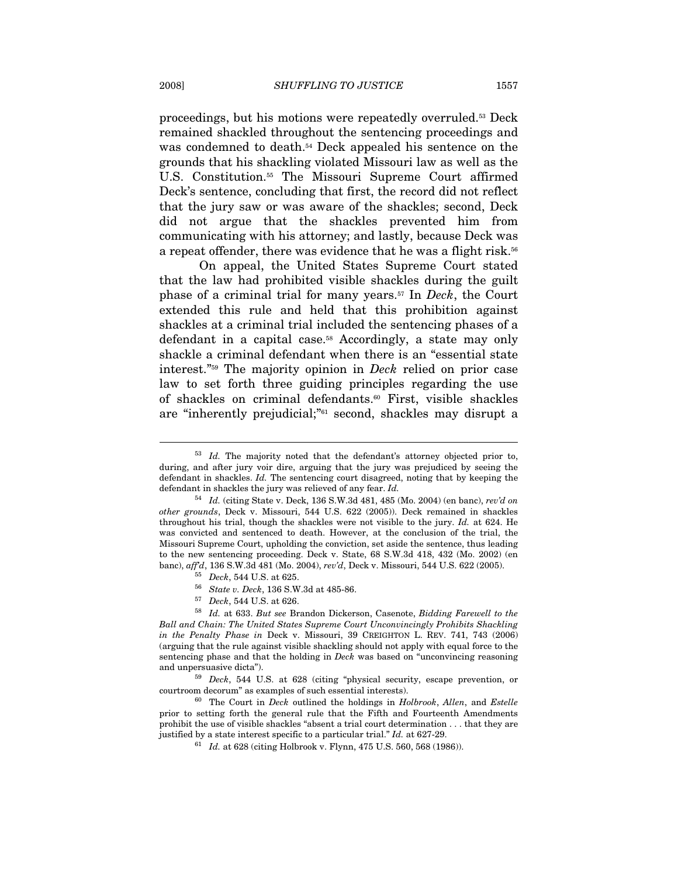proceedings, but his motions were repeatedly overruled.53 Deck remained shackled throughout the sentencing proceedings and was condemned to death.<sup>54</sup> Deck appealed his sentence on the grounds that his shackling violated Missouri law as well as the U.S. Constitution.55 The Missouri Supreme Court affirmed Deck's sentence, concluding that first, the record did not reflect that the jury saw or was aware of the shackles; second, Deck did not argue that the shackles prevented him from communicating with his attorney; and lastly, because Deck was a repeat offender, there was evidence that he was a flight risk.<sup>56</sup>

On appeal, the United States Supreme Court stated that the law had prohibited visible shackles during the guilt phase of a criminal trial for many years.57 In Deck, the Court extended this rule and held that this prohibition against shackles at a criminal trial included the sentencing phases of a defendant in a capital case.58 Accordingly, a state may only shackle a criminal defendant when there is an "essential state interest."59 The majority opinion in Deck relied on prior case law to set forth three guiding principles regarding the use of shackles on criminal defendants.60 First, visible shackles are "inherently prejudicial;"61 second, shackles may disrupt a

 $53$  *Id.* The majority noted that the defendant's attorney objected prior to, during, and after jury voir dire, arguing that the jury was prejudiced by seeing the defendant in shackles. Id. The sentencing court disagreed, noting that by keeping the defendant in shackles the jury was relieved of any fear. Id.<br><sup>54</sup> Id. (citing State v. Deck, 136 S.W.3d 481, 485 (Mo. 2004) (en banc), rev'd on

other grounds, Deck v. Missouri, 544 U.S. 622 (2005)). Deck remained in shackles throughout his trial, though the shackles were not visible to the jury. Id. at 624. He was convicted and sentenced to death. However, at the conclusion of the trial, the Missouri Supreme Court, upholding the conviction, set aside the sentence, thus leading to the new sentencing proceeding. Deck v. State,  $68$  S.W.3d 418, 432 (Mo. 2002) (en banc),  $affd$ , 136 S.W.3d 481 (Mo. 2004),  $rev'd$ , Deck v. Missouri, 544 U.S.  $622$  (2005).

<sup>&</sup>lt;sup>55</sup> Deck, 544 U.S. at 625.<br><sup>56</sup> State v. Deck, 136 S.W.3d at 485-86.<br><sup>57</sup> Deck, 544 U.S. at 626.<br><sup>58</sup> Id. at 633. But see Brandon Dickerson, Casenote, Bidding Farewell to the Ball and Chain: The United States Supreme Court Unconvincingly Prohibits Shackling in the Penalty Phase in Deck v. Missouri, 39 CREIGHTON L. REV. 741, 743 (2006) (arguing that the rule against visible shackling should not apply with equal force to the sentencing phase and that the holding in Deck was based on "unconvincing reasoning and unpersuasive dicta"). 59 Deck, 544 U.S. at 628 (citing "physical security, escape prevention, or

courtroom decorum" as examples of such essential interests). 60 The Court in Deck outlined the holdings in Holbrook, Allen, and Estelle

prior to setting forth the general rule that the Fifth and Fourteenth Amendments prohibit the use of visible shackles "absent a trial court determination . . . that they are justified by a state interest specific to a particular trial."  $Id$ . at 627-29.<br><sup>61</sup>  $Id$ . at 628 (citing Holbrook v. Flynn, 475 U.S. 560, 568 (1986)).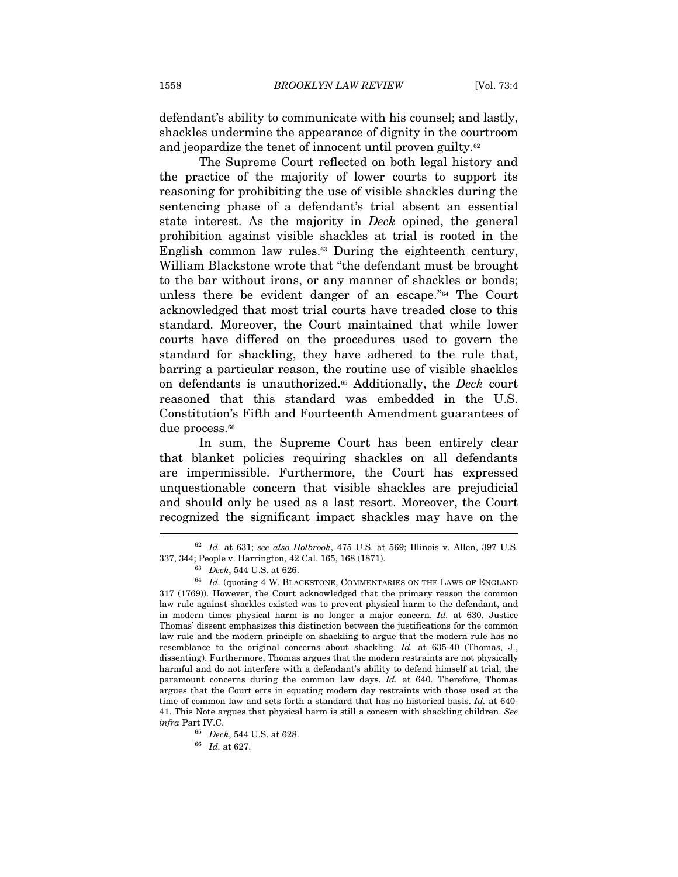defendant's ability to communicate with his counsel; and lastly, shackles undermine the appearance of dignity in the courtroom and jeopardize the tenet of innocent until proven guilty.<sup>62</sup>

The Supreme Court reflected on both legal history and the practice of the majority of lower courts to support its reasoning for prohibiting the use of visible shackles during the sentencing phase of a defendant's trial absent an essential state interest. As the majority in Deck opined, the general prohibition against visible shackles at trial is rooted in the English common law rules.<sup>63</sup> During the eighteenth century, William Blackstone wrote that "the defendant must be brought to the bar without irons, or any manner of shackles or bonds; unless there be evident danger of an escape."64 The Court acknowledged that most trial courts have treaded close to this standard. Moreover, the Court maintained that while lower courts have differed on the procedures used to govern the standard for shackling, they have adhered to the rule that, barring a particular reason, the routine use of visible shackles on defendants is unauthorized.<sup>65</sup> Additionally, the *Deck* court reasoned that this standard was embedded in the U.S. Constitution's Fifth and Fourteenth Amendment guarantees of due process.<sup>66</sup>

In sum, the Supreme Court has been entirely clear that blanket policies requiring shackles on all defendants are impermissible. Furthermore, the Court has expressed unquestionable concern that visible shackles are prejudicial and should only be used as a last resort. Moreover, the Court recognized the significant impact shackles may have on the  $\overline{a}$ 

 $62$  Id. at 631; see also Holbrook, 475 U.S. at 569; Illinois v. Allen, 397 U.S. 337, 344; People v. Harrington, 42 Cal. 165, 168 (1871). 63 Deck, 544 U.S. at 626.

 $^{64}$  Id. (quoting 4 W. BLACKSTONE, COMMENTARIES ON THE LAWS OF ENGLAND 317 (1769)). However, the Court acknowledged that the primary reason the common law rule against shackles existed was to prevent physical harm to the defendant, and in modern times physical harm is no longer a major concern. Id. at 630. Justice Thomas' dissent emphasizes this distinction between the justifications for the common law rule and the modern principle on shackling to argue that the modern rule has no resemblance to the original concerns about shackling. Id. at 635-40 (Thomas, J., dissenting). Furthermore, Thomas argues that the modern restraints are not physically harmful and do not interfere with a defendant's ability to defend himself at trial, the paramount concerns during the common law days. Id. at 640. Therefore, Thomas argues that the Court errs in equating modern day restraints with those used at the time of common law and sets forth a standard that has no historical basis. Id. at 640- 41. This Note argues that physical harm is still a concern with shackling children. See  $\inf$  Part IV.C.  $^{65}$  Deck, 544 U.S. at 628.  $^{66}$   $\;$   $Id.$  at 627.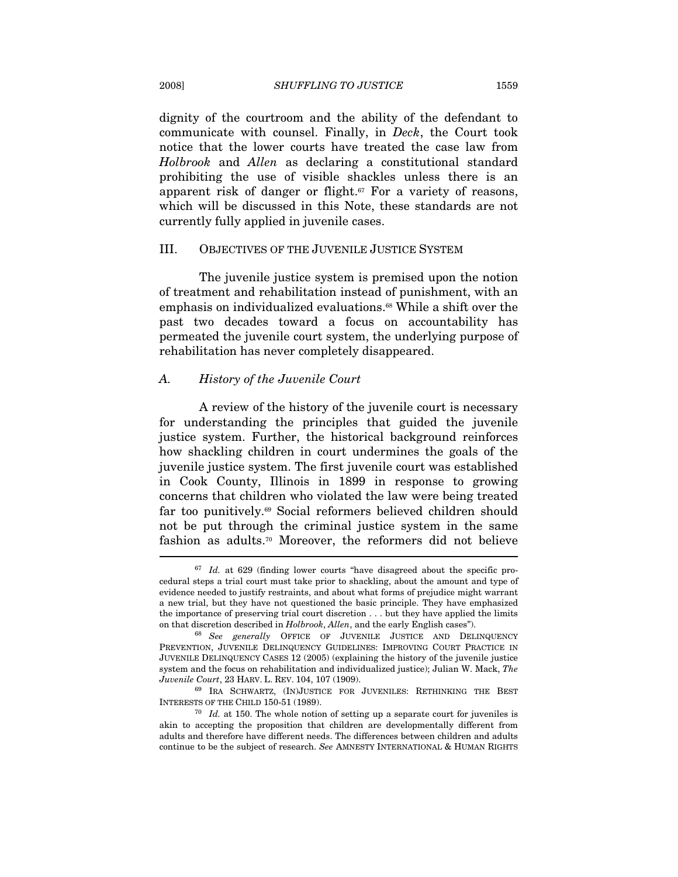dignity of the courtroom and the ability of the defendant to communicate with counsel. Finally, in Deck, the Court took notice that the lower courts have treated the case law from Holbrook and Allen as declaring a constitutional standard prohibiting the use of visible shackles unless there is an apparent risk of danger or flight.<sup>67</sup> For a variety of reasons, which will be discussed in this Note, these standards are not currently fully applied in juvenile cases.

### III. OBJECTIVES OF THE JUVENILE JUSTICE SYSTEM

The juvenile justice system is premised upon the notion of treatment and rehabilitation instead of punishment, with an emphasis on individualized evaluations.68 While a shift over the past two decades toward a focus on accountability has permeated the juvenile court system, the underlying purpose of rehabilitation has never completely disappeared.

#### A. History of the Juvenile Court

A review of the history of the juvenile court is necessary for understanding the principles that guided the juvenile justice system. Further, the historical background reinforces how shackling children in court undermines the goals of the juvenile justice system. The first juvenile court was established in Cook County, Illinois in 1899 in response to growing concerns that children who violated the law were being treated far too punitively.69 Social reformers believed children should not be put through the criminal justice system in the same fashion as adults.70 Moreover, the reformers did not believe

 $67$  Id. at 629 (finding lower courts "have disagreed about the specific procedural steps a trial court must take prior to shackling, about the amount and type of evidence needed to justify restraints, and about what forms of prejudice might warrant a new trial, but they have not questioned the basic principle. They have emphasized the importance of preserving trial court discretion . . . but they have applied the limits on that discretion described in  $Holbrook$ , Allen, and the early English cases").<br><sup>68</sup> See generally OFFICE OF JUVENILE JUSTICE AND DELINQUENCY

PREVENTION, JUVENILE DELINQUENCY GUIDELINES: IMPROVING COURT PRACTICE IN JUVENILE DELINQUENCY CASES 12 (2005) (explaining the history of the juvenile justice system and the focus on rehabilitation and individualized justice); Julian W. Mack, The Juvenile Court, 23 HARV. L. REV. 104, 107 (1909).

<sup>&</sup>lt;sup>69</sup> IRA SCHWARTZ, (IN)JUSTICE FOR JUVENILES: RETHINKING THE BEST INTERESTS OF THE CHILD 150-51 (1989).  $\frac{70}{I}$  *Id.* at 150. The whole notion of setting up a separate court for juveniles is

akin to accepting the proposition that children are developmentally different from adults and therefore have different needs. The differences between children and adults continue to be the subject of research. See AMNESTY INTERNATIONAL & HUMAN RIGHTS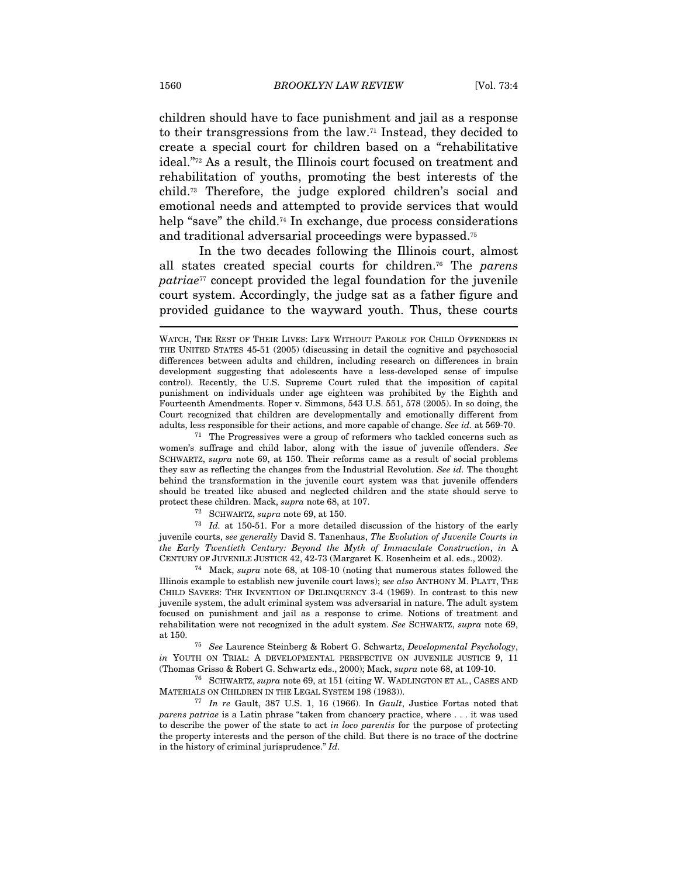children should have to face punishment and jail as a response to their transgressions from the law.71 Instead, they decided to create a special court for children based on a "rehabilitative ideal."72 As a result, the Illinois court focused on treatment and rehabilitation of youths, promoting the best interests of the child.73 Therefore, the judge explored children's social and emotional needs and attempted to provide services that would help "save" the child.<sup>74</sup> In exchange, due process considerations and traditional adversarial proceedings were bypassed.75

In the two decades following the Illinois court, almost all states created special courts for children.<sup>76</sup> The parens patriae<sup>77</sup> concept provided the legal foundation for the juvenile court system. Accordingly, the judge sat as a father figure and provided guidance to the wayward youth. Thus, these courts

women's suffrage and child labor, along with the issue of juvenile offenders. See SCHWARTZ, supra note 69, at 150. Their reforms came as a result of social problems they saw as reflecting the changes from the Industrial Revolution. See id. The thought behind the transformation in the juvenile court system was that juvenile offenders should be treated like abused and neglected children and the state should serve to

protect these children. Mack, *supra* note 68, at 107.<br><sup>72</sup> SCHWARTZ, *supra* note 69, at 150.<br><sup>73</sup> Id. at 150-51. For a more detailed discussion of the history of the early juvenile courts, see generally David S. Tanenhaus, The Evolution of Juvenile Courts in the Early Twentieth Century: Beyond the Myth of Immaculate Construction, in A CENTURY OF JUVENILE JUSTICE 42, 42-73 (Margaret K. Rosenheim et al. eds., 2002). 74 Mack, supra note 68, at 108-10 (noting that numerous states followed the

Illinois example to establish new juvenile court laws); see also ANTHONY M. PLATT, THE CHILD SAVERS: THE INVENTION OF DELINQUENCY 3-4 (1969). In contrast to this new juvenile system, the adult criminal system was adversarial in nature. The adult system focused on punishment and jail as a response to crime. Notions of treatment and rehabilitation were not recognized in the adult system. See SCHWARTZ, supra note 69, at 150. 75 See Laurence Steinberg & Robert G. Schwartz, Developmental Psychology,

in YOUTH ON TRIAL: A DEVELOPMENTAL PERSPECTIVE ON JUVENILE JUSTICE 9, 11 (Thomas Grisso & Robert G. Schwartz eds., 2000); Mack, *supra* note 68, at 109-10.<br><sup>76</sup> SCHWARTZ, *supra* note 69, at 151 (citing W. WADLINGTON ET AL., CASES AND

MATERIALS ON CHILDREN IN THE LEGAL SYSTEM 198 (1983)).<br><sup>77</sup> In re Gault, 387 U.S. 1, 16 (1966). In *Gault*, Justice Fortas noted that

parens patriae is a Latin phrase "taken from chancery practice, where . . . it was used to describe the power of the state to act in loco parentis for the purpose of protecting the property interests and the person of the child. But there is no trace of the doctrine in the history of criminal jurisprudence." Id.

WATCH, THE REST OF THEIR LIVES: LIFE WITHOUT PAROLE FOR CHILD OFFENDERS IN THE UNITED STATES 45-51 (2005) (discussing in detail the cognitive and psychosocial differences between adults and children, including research on differences in brain development suggesting that adolescents have a less-developed sense of impulse control). Recently, the U.S. Supreme Court ruled that the imposition of capital punishment on individuals under age eighteen was prohibited by the Eighth and Fourteenth Amendments. Roper v. Simmons, 543 U.S. 551, 578 (2005). In so doing, the Court recognized that children are developmentally and emotionally different from adults, less responsible for their actions, and more capable of change. See id. at 569-70. 71 The Progressives were a group of reformers who tackled concerns such as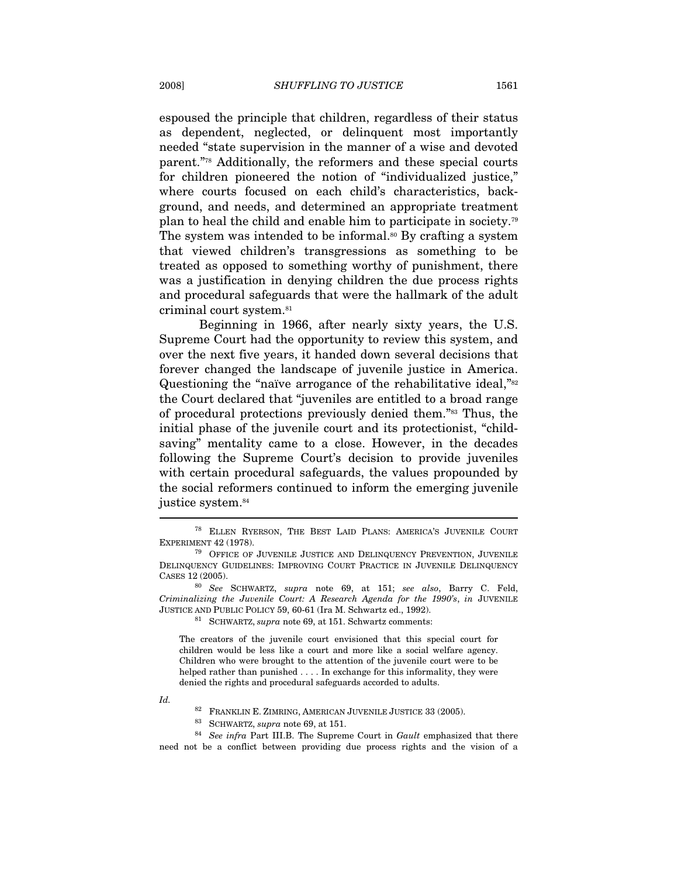espoused the principle that children, regardless of their status as dependent, neglected, or delinquent most importantly needed "state supervision in the manner of a wise and devoted parent."78 Additionally, the reformers and these special courts for children pioneered the notion of "individualized justice," where courts focused on each child's characteristics, background, and needs, and determined an appropriate treatment plan to heal the child and enable him to participate in society.79 The system was intended to be informal.<sup>80</sup> By crafting a system that viewed children's transgressions as something to be treated as opposed to something worthy of punishment, there was a justification in denying children the due process rights and procedural safeguards that were the hallmark of the adult criminal court system.81

Beginning in 1966, after nearly sixty years, the U.S. Supreme Court had the opportunity to review this system, and over the next five years, it handed down several decisions that forever changed the landscape of juvenile justice in America. Questioning the "naïve arrogance of the rehabilitative ideal,"<sup>82</sup> the Court declared that "juveniles are entitled to a broad range of procedural protections previously denied them."83 Thus, the initial phase of the juvenile court and its protectionist, "childsaving" mentality came to a close. However, in the decades following the Supreme Court's decision to provide juveniles with certain procedural safeguards, the values propounded by the social reformers continued to inform the emerging juvenile justice system.<sup>84</sup>

The creators of the juvenile court envisioned that this special court for children would be less like a court and more like a social welfare agency. Children who were brought to the attention of the juvenile court were to be helped rather than punished . . . . In exchange for this informality, they were denied the rights and procedural safeguards accorded to adults.

Id.

<sup>82</sup> FRANKLIN E. ZIMRING, AMERICAN JUVENILE JUSTICE 33 (2005).<br><sup>83</sup> SCHWARTZ, *supra* note 69, at 151.<br><sup>84</sup> See infra Part III.B. The Supreme Court in *Gault* emphasized that there need not be a conflict between providing due process rights and the vision of a

<sup>78</sup> ELLEN RYERSON, THE BEST LAID PLANS: AMERICA'S JUVENILE COURT EXPERIMENT 42 (1978). <sup>79</sup> OFFICE OF JUVENILE JUSTICE AND DELINQUENCY PREVENTION, JUVENILE

DELINQUENCY GUIDELINES: IMPROVING COURT PRACTICE IN JUVENILE DELINQUENCY CASES 12 (2005).

<sup>80</sup> See SCHWARTZ, supra note 69, at 151; see also, Barry C. Feld, Criminalizing the Juvenile Court: A Research Agenda for the 1990's, in JUVENILE JUSTICE AND PUBLIC POLICY 59, 60-61 (Ira M. Schwartz ed., 1992). 81 SCHWARTZ, supra note 69, at 151. Schwartz comments: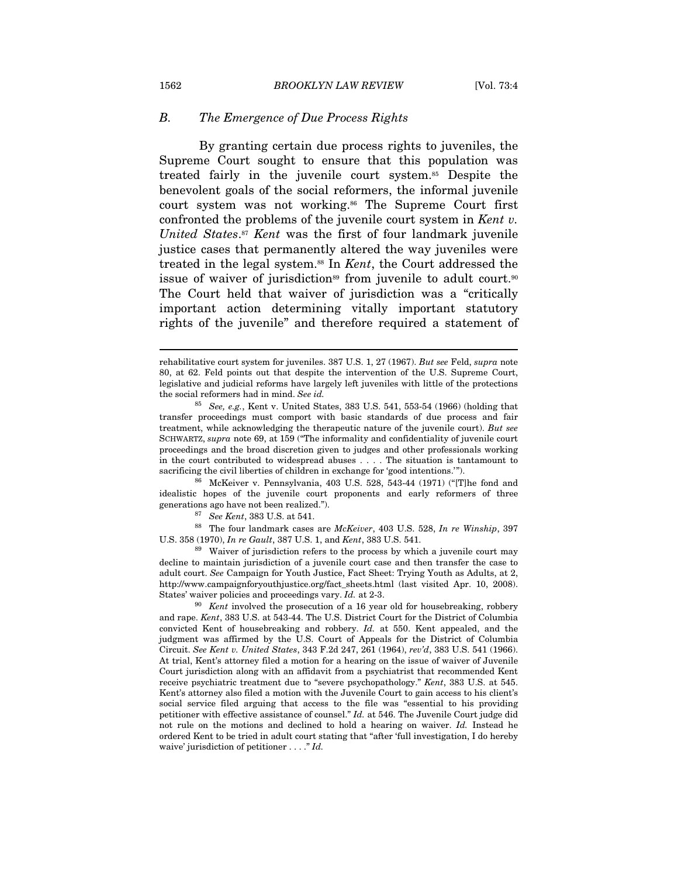#### B. The Emergence of Due Process Rights

By granting certain due process rights to juveniles, the Supreme Court sought to ensure that this population was treated fairly in the juvenile court system.85 Despite the benevolent goals of the social reformers, the informal juvenile court system was not working.<sup>86</sup> The Supreme Court first confronted the problems of the juvenile court system in Kent v. United States.<sup>87</sup> Kent was the first of four landmark juvenile justice cases that permanently altered the way juveniles were treated in the legal system.<sup>88</sup> In *Kent*, the Court addressed the issue of waiver of jurisdiction<sup>89</sup> from juvenile to adult court.<sup>90</sup> The Court held that waiver of jurisdiction was a "critically important action determining vitally important statutory rights of the juvenile" and therefore required a statement of

idealistic hopes of the juvenile court proponents and early reformers of three generations ago have not been realized.").<br><sup>87</sup> See Kent, 383 U.S. at 541.

88 The four landmark cases are McKeiver, 403 U.S. 528, In re Winship, 397 U.S. 358 (1970), In re Gault, 387 U.S. 1, and Kent, 383 U.S. 541.<br><sup>89</sup> Waiver of jurisdiction refers to the process by which a juvenile court may

decline to maintain jurisdiction of a juvenile court case and then transfer the case to adult court. See Campaign for Youth Justice, Fact Sheet: Trying Youth as Adults, at 2, http://www.campaignforyouthjustice.org/fact\_sheets.html (last visited Apr. 10, 2008). States' waiver policies and proceedings vary. Id. at 2-3.<br><sup>90</sup> Kent involved the prosecution of a 16 year old for housebreaking, robbery

rehabilitative court system for juveniles. 387 U.S. 1, 27 (1967). But see Feld, supra note 80, at 62. Feld points out that despite the intervention of the U.S. Supreme Court, legislative and judicial reforms have largely left juveniles with little of the protections the social reformers had in mind. See id.

<sup>&</sup>lt;sup>85</sup> See, e.g., Kent v. United States, 383 U.S. 541, 553-54 (1966) (holding that transfer proceedings must comport with basic standards of due process and fair treatment, while acknowledging the therapeutic nature of the juvenile court). But see SCHWARTZ, supra note 69, at 159 ("The informality and confidentiality of juvenile court proceedings and the broad discretion given to judges and other professionals working in the court contributed to widespread abuses . . . . The situation is tantamount to sacrificing the civil liberties of children in exchange for 'good intentions.'").<br><sup>86</sup> McKeiver v. Pennsylvania, 403 U.S. 528, 543-44 (1971) ("[T]he fond and

and rape. Kent, 383 U.S. at 543-44. The U.S. District Court for the District of Columbia convicted Kent of housebreaking and robbery. Id. at 550. Kent appealed, and the judgment was affirmed by the U.S. Court of Appeals for the District of Columbia Circuit. See Kent v. United States, 343 F.2d 247, 261 (1964), rev'd, 383 U.S. 541 (1966). At trial, Kent's attorney filed a motion for a hearing on the issue of waiver of Juvenile Court jurisdiction along with an affidavit from a psychiatrist that recommended Kent receive psychiatric treatment due to "severe psychopathology." Kent, 383 U.S. at 545. Kent's attorney also filed a motion with the Juvenile Court to gain access to his client's social service filed arguing that access to the file was "essential to his providing petitioner with effective assistance of counsel." Id. at 546. The Juvenile Court judge did not rule on the motions and declined to hold a hearing on waiver. Id. Instead he ordered Kent to be tried in adult court stating that "after 'full investigation, I do hereby waive' jurisdiction of petitioner . . . . " Id.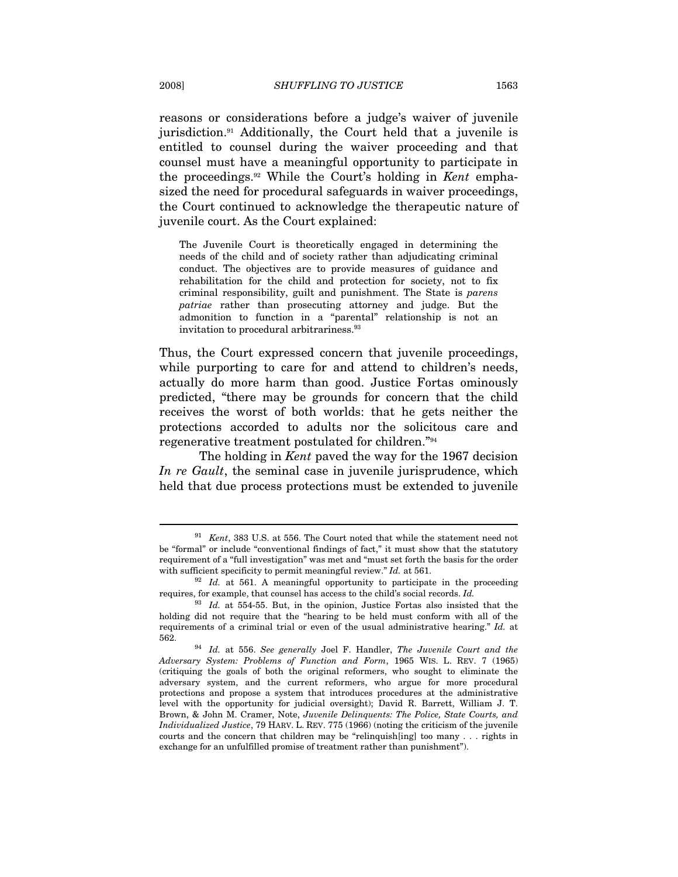reasons or considerations before a judge's waiver of juvenile jurisdiction.91 Additionally, the Court held that a juvenile is entitled to counsel during the waiver proceeding and that counsel must have a meaningful opportunity to participate in the proceedings.92 While the Court's holding in Kent emphasized the need for procedural safeguards in waiver proceedings, the Court continued to acknowledge the therapeutic nature of juvenile court. As the Court explained:

The Juvenile Court is theoretically engaged in determining the needs of the child and of society rather than adjudicating criminal conduct. The objectives are to provide measures of guidance and rehabilitation for the child and protection for society, not to fix criminal responsibility, guilt and punishment. The State is parens patriae rather than prosecuting attorney and judge. But the admonition to function in a "parental" relationship is not an invitation to procedural arbitrariness.93

Thus, the Court expressed concern that juvenile proceedings, while purporting to care for and attend to children's needs, actually do more harm than good. Justice Fortas ominously predicted, "there may be grounds for concern that the child receives the worst of both worlds: that he gets neither the protections accorded to adults nor the solicitous care and regenerative treatment postulated for children."94

The holding in *Kent* paved the way for the 1967 decision In re Gault, the seminal case in juvenile jurisprudence, which held that due process protections must be extended to juvenile

 $91$  Kent, 383 U.S. at 556. The Court noted that while the statement need not be "formal" or include "conventional findings of fact," it must show that the statutory requirement of a "full investigation" was met and "must set forth the basis for the order with sufficient specificity to permit meaningful review." Id. at 561.<br><sup>92</sup> Id. at 561. A meaningful opportunity to participate in the proceeding

requires, for example, that counsel has access to the child's social records. Id.

 $93$  Id. at 554-55. But, in the opinion, Justice Fortas also insisted that the holding did not require that the "hearing to be held must conform with all of the requirements of a criminal trial or even of the usual administrative hearing."  $Id$ . at  $562$ .

 $5634$  Id. at 556. See generally Joel F. Handler, The Juvenile Court and the Adversary System: Problems of Function and Form, 1965 WIS. L. REV. 7 (1965) (critiquing the goals of both the original reformers, who sought to eliminate the adversary system, and the current reformers, who argue for more procedural protections and propose a system that introduces procedures at the administrative level with the opportunity for judicial oversight); David R. Barrett, William J. T. Brown, & John M. Cramer, Note, Juvenile Delinquents: The Police, State Courts, and Individualized Justice, 79 HARV. L. REV. 775 (1966) (noting the criticism of the juvenile courts and the concern that children may be "relinquish[ing] too many . . . rights in exchange for an unfulfilled promise of treatment rather than punishment").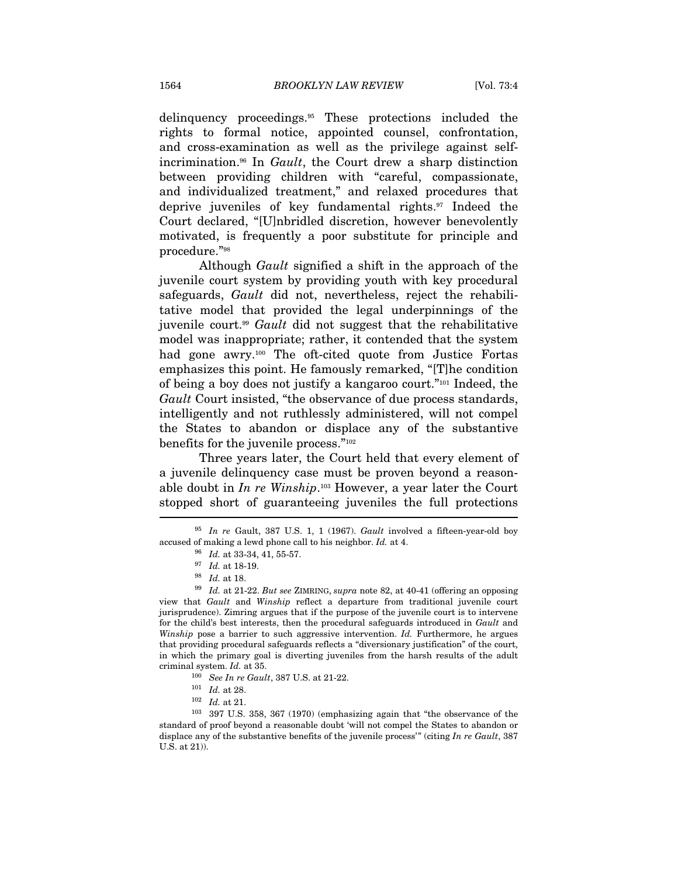delinquency proceedings.95 These protections included the rights to formal notice, appointed counsel, confrontation, and cross-examination as well as the privilege against selfincrimination.96 In Gault, the Court drew a sharp distinction between providing children with "careful, compassionate, and individualized treatment," and relaxed procedures that deprive juveniles of key fundamental rights.97 Indeed the Court declared, "[U]nbridled discretion, however benevolently motivated, is frequently a poor substitute for principle and procedure."98

Although Gault signified a shift in the approach of the juvenile court system by providing youth with key procedural safeguards, Gault did not, nevertheless, reject the rehabilitative model that provided the legal underpinnings of the juvenile court.99 Gault did not suggest that the rehabilitative model was inappropriate; rather, it contended that the system had gone awry.<sup>100</sup> The oft-cited quote from Justice Fortas emphasizes this point. He famously remarked, "[T]he condition of being a boy does not justify a kangaroo court."101 Indeed, the Gault Court insisted, "the observance of due process standards, intelligently and not ruthlessly administered, will not compel the States to abandon or displace any of the substantive benefits for the juvenile process."102

Three years later, the Court held that every element of a juvenile delinquency case must be proven beyond a reasonable doubt in In re Winship.<sup>103</sup> However, a year later the Court stopped short of guaranteeing juveniles the full protections I

 $95$  In re Gault, 387 U.S. 1, 1 (1967). Gault involved a fifteen-year-old boy % accused of making a lewd phone call to his neighbor. Id. at 4.  $^{96}$  Id. at 33-34, 41, 55-57.  $^{97}$  Id. at 18-19.

 $^{98}$   $\,$  Id. at 18.  $^{99}$   $\,$  Id. at 21-22.  $But$  see ZIMRING, supra note 82, at 40-41 (offering an opposing view that Gault and Winship reflect a departure from traditional juvenile court jurisprudence). Zimring argues that if the purpose of the juvenile court is to intervene for the child's best interests, then the procedural safeguards introduced in Gault and Winship pose a barrier to such aggressive intervention. Id. Furthermore, he argues that providing procedural safeguards reflects a "diversionary justification" of the court, in which the primary goal is diverting juveniles from the harsh results of the adult criminal system. Id. at 35.  $100$  See In re Gault, 387 U.S. at 21-22.  $101$  Id. at 28.  $102$  Id. at 21.  $103$  397 U.S. 358, 367 (1970) (emphasizing again that "the observance of the

standard of proof beyond a reasonable doubt 'will not compel the States to abandon or displace any of the substantive benefits of the juvenile process" (citing In re Gault, 387) U.S. at 21)).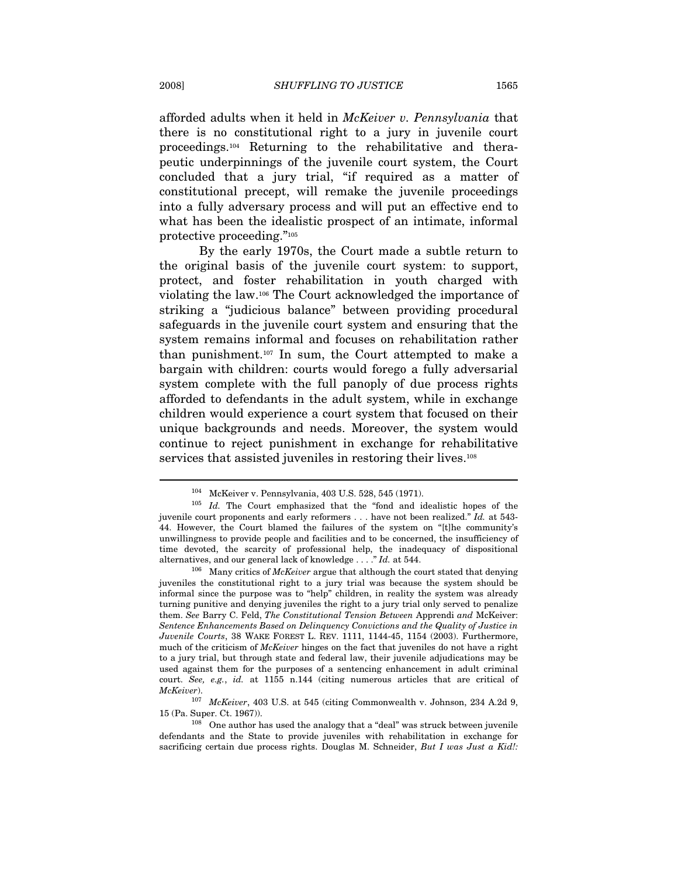afforded adults when it held in McKeiver v. Pennsylvania that there is no constitutional right to a jury in juvenile court proceedings.104 Returning to the rehabilitative and therapeutic underpinnings of the juvenile court system, the Court concluded that a jury trial, "if required as a matter of constitutional precept, will remake the juvenile proceedings into a fully adversary process and will put an effective end to what has been the idealistic prospect of an intimate, informal protective proceeding."105

By the early 1970s, the Court made a subtle return to the original basis of the juvenile court system: to support, protect, and foster rehabilitation in youth charged with violating the law.106 The Court acknowledged the importance of striking a "judicious balance" between providing procedural safeguards in the juvenile court system and ensuring that the system remains informal and focuses on rehabilitation rather than punishment.107 In sum, the Court attempted to make a bargain with children: courts would forego a fully adversarial system complete with the full panoply of due process rights afforded to defendants in the adult system, while in exchange children would experience a court system that focused on their unique backgrounds and needs. Moreover, the system would continue to reject punishment in exchange for rehabilitative services that assisted juveniles in restoring their lives.<sup>108</sup>

<sup>&</sup>lt;sup>104</sup> McKeiver v. Pennsylvania, 403 U.S. 528, 545 (1971).<br><sup>105</sup> *Id.* The Court emphasized that the "fond and idealistic hopes of the juvenile court proponents and early reformers . . . have not been realized." Id. at 543- 44. However, the Court blamed the failures of the system on "[t]he community's unwillingness to provide people and facilities and to be concerned, the insufficiency of time devoted, the scarcity of professional help, the inadequacy of dispositional

alternatives, and our general lack of knowledge . . . ." Id. at 544.<br><sup>106</sup> Many critics of *McKeiver* argue that although the court stated that denying juveniles the constitutional right to a jury trial was because the system should be informal since the purpose was to "help" children, in reality the system was already turning punitive and denying juveniles the right to a jury trial only served to penalize them. See Barry C. Feld, The Constitutional Tension Between Apprendi and McKeiver: Sentence Enhancements Based on Delinquency Convictions and the Quality of Justice in Juvenile Courts, 38 WAKE FOREST L. REV. 1111, 1144-45, 1154 (2003). Furthermore, much of the criticism of McKeiver hinges on the fact that juveniles do not have a right to a jury trial, but through state and federal law, their juvenile adjudications may be used against them for the purposes of a sentencing enhancement in adult criminal court. See, e.g., id. at 1155 n.144 (citing numerous articles that are critical of McKeiver).

<sup>107</sup> McKeiver, 403 U.S. at 545 (citing Commonwealth v. Johnson, 234 A.2d 9, 15 (Pa. Super. Ct. 1967)).<br><sup>108</sup> One author has used the analogy that a "deal" was struck between juvenile

defendants and the State to provide juveniles with rehabilitation in exchange for sacrificing certain due process rights. Douglas M. Schneider, But I was Just a Kid!: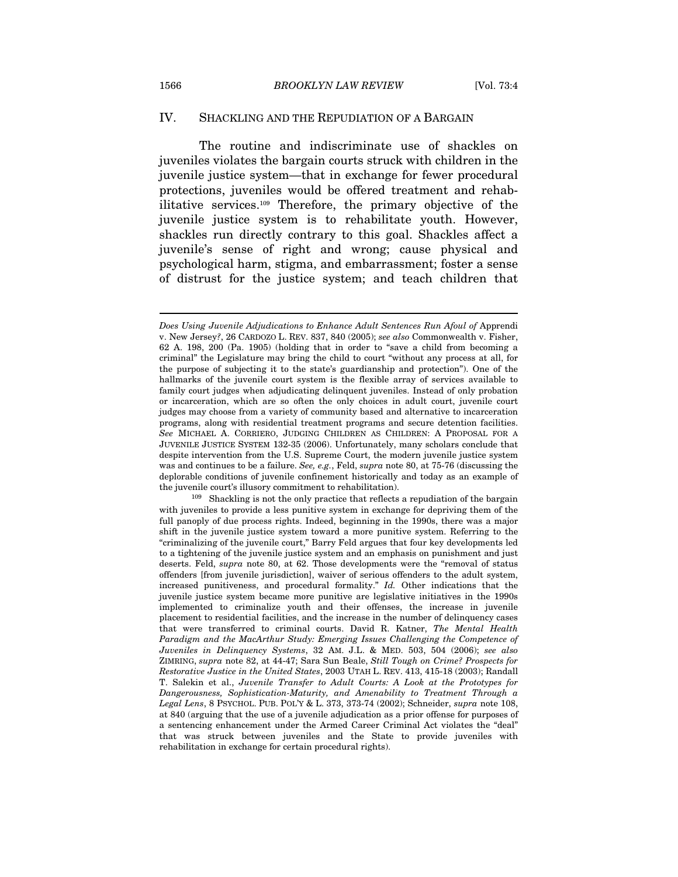#### IV. SHACKLING AND THE REPUDIATION OF A BARGAIN

The routine and indiscriminate use of shackles on juveniles violates the bargain courts struck with children in the juvenile justice system—that in exchange for fewer procedural protections, juveniles would be offered treatment and rehabilitative services.109 Therefore, the primary objective of the juvenile justice system is to rehabilitate youth. However, shackles run directly contrary to this goal. Shackles affect a juvenile's sense of right and wrong; cause physical and psychological harm, stigma, and embarrassment; foster a sense of distrust for the justice system; and teach children that

the juvenile court's illusory commitment to rehabilitation).<br><sup>109</sup> Shackling is not the only practice that reflects a repudiation of the bargain with juveniles to provide a less punitive system in exchange for depriving them of the full panoply of due process rights. Indeed, beginning in the 1990s, there was a major shift in the juvenile justice system toward a more punitive system. Referring to the "criminalizing of the juvenile court," Barry Feld argues that four key developments led to a tightening of the juvenile justice system and an emphasis on punishment and just deserts. Feld, *supra* note 80, at 62. Those developments were the "removal of status" offenders [from juvenile jurisdiction], waiver of serious offenders to the adult system, increased punitiveness, and procedural formality." Id. Other indications that the juvenile justice system became more punitive are legislative initiatives in the 1990s implemented to criminalize youth and their offenses, the increase in juvenile placement to residential facilities, and the increase in the number of delinquency cases that were transferred to criminal courts. David R. Katner, The Mental Health Paradigm and the MacArthur Study: Emerging Issues Challenging the Competence of Juveniles in Delinquency Systems, 32 AM. J.L. & MED. 503, 504 (2006); see also ZIMRING, supra note 82, at 44-47; Sara Sun Beale, Still Tough on Crime? Prospects for Restorative Justice in the United States, 2003 UTAH L. REV. 413, 415-18 (2003); Randall T. Salekin et al., Juvenile Transfer to Adult Courts: A Look at the Prototypes for Dangerousness, Sophistication-Maturity, and Amenability to Treatment Through a Legal Lens, 8 PSYCHOL. PUB. POL'Y & L. 373, 373-74 (2002); Schneider, supra note 108, at 840 (arguing that the use of a juvenile adjudication as a prior offense for purposes of a sentencing enhancement under the Armed Career Criminal Act violates the "deal" that was struck between juveniles and the State to provide juveniles with rehabilitation in exchange for certain procedural rights).

Does Using Juvenile Adjudications to Enhance Adult Sentences Run Afoul of Apprendi v. New Jersey?, 26 CARDOZO L. REV. 837, 840 (2005); see also Commonwealth v. Fisher, 62 A. 198, 200 (Pa. 1905) (holding that in order to "save a child from becoming a criminal" the Legislature may bring the child to court "without any process at all, for the purpose of subjecting it to the state's guardianship and protection"). One of the hallmarks of the juvenile court system is the flexible array of services available to family court judges when adjudicating delinquent juveniles. Instead of only probation or incarceration, which are so often the only choices in adult court, juvenile court judges may choose from a variety of community based and alternative to incarceration programs, along with residential treatment programs and secure detention facilities. See MICHAEL A. CORRIERO, JUDGING CHILDREN AS CHILDREN: A PROPOSAL FOR A JUVENILE JUSTICE SYSTEM 132-35 (2006). Unfortunately, many scholars conclude that despite intervention from the U.S. Supreme Court, the modern juvenile justice system was and continues to be a failure. See, e.g., Feld, supra note 80, at 75-76 (discussing the deplorable conditions of juvenile confinement historically and today as an example of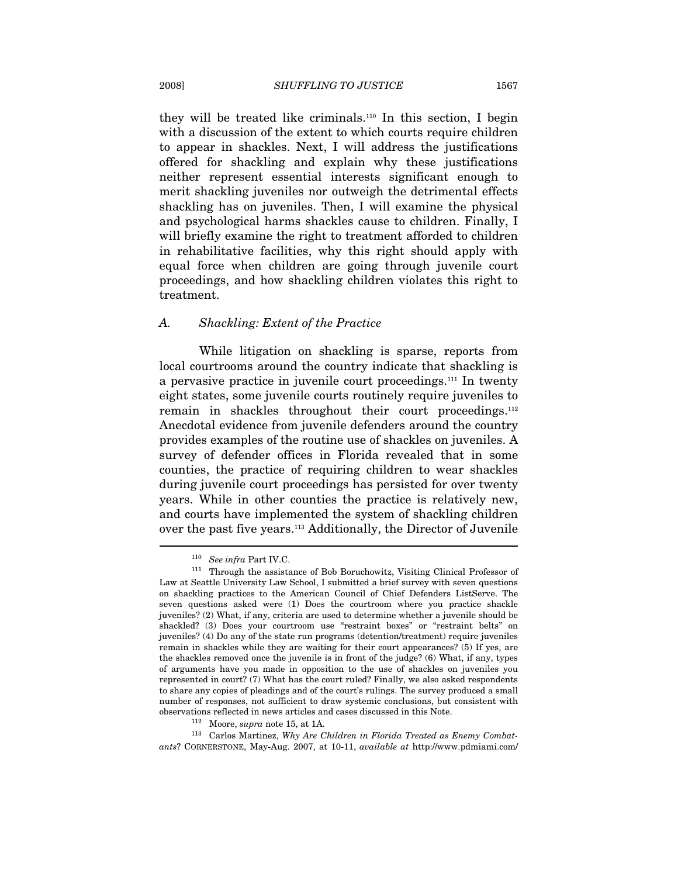they will be treated like criminals.110 In this section, I begin with a discussion of the extent to which courts require children to appear in shackles. Next, I will address the justifications offered for shackling and explain why these justifications neither represent essential interests significant enough to merit shackling juveniles nor outweigh the detrimental effects shackling has on juveniles. Then, I will examine the physical and psychological harms shackles cause to children. Finally, I will briefly examine the right to treatment afforded to children in rehabilitative facilities, why this right should apply with equal force when children are going through juvenile court proceedings, and how shackling children violates this right to treatment.

#### A. Shackling: Extent of the Practice

While litigation on shackling is sparse, reports from local courtrooms around the country indicate that shackling is a pervasive practice in juvenile court proceedings.111 In twenty eight states, some juvenile courts routinely require juveniles to remain in shackles throughout their court proceedings.<sup>112</sup> Anecdotal evidence from juvenile defenders around the country provides examples of the routine use of shackles on juveniles. A survey of defender offices in Florida revealed that in some counties, the practice of requiring children to wear shackles during juvenile court proceedings has persisted for over twenty years. While in other counties the practice is relatively new, and courts have implemented the system of shackling children over the past five years.113 Additionally, the Director of Juvenile

% observations reflected in news articles and cases discussed in this Note.<br><sup>112</sup> Moore, *supra* note 15, at 1A.<br><sup>113</sup> Carlos Martinez, Why Are Children in Florida Treated as Enemy Combatants? CORNERSTONE, May-Aug. 2007, at 10-11, available at http://www.pdmiami.com/

<sup>&</sup>lt;sup>110</sup> See infra Part IV.C.<br><sup>111</sup> Through the assistance of Bob Boruchowitz, Visiting Clinical Professor of Law at Seattle University Law School, I submitted a brief survey with seven questions on shackling practices to the American Council of Chief Defenders ListServe. The seven questions asked were (1) Does the courtroom where you practice shackle juveniles? (2) What, if any, criteria are used to determine whether a juvenile should be shackled? (3) Does your courtroom use "restraint boxes" or "restraint belts" on juveniles? (4) Do any of the state run programs (detention/treatment) require juveniles remain in shackles while they are waiting for their court appearances? (5) If yes, are the shackles removed once the juvenile is in front of the judge? (6) What, if any, types of arguments have you made in opposition to the use of shackles on juveniles you represented in court? (7) What has the court ruled? Finally, we also asked respondents to share any copies of pleadings and of the court's rulings. The survey produced a small number of responses, not sufficient to draw systemic conclusions, but consistent with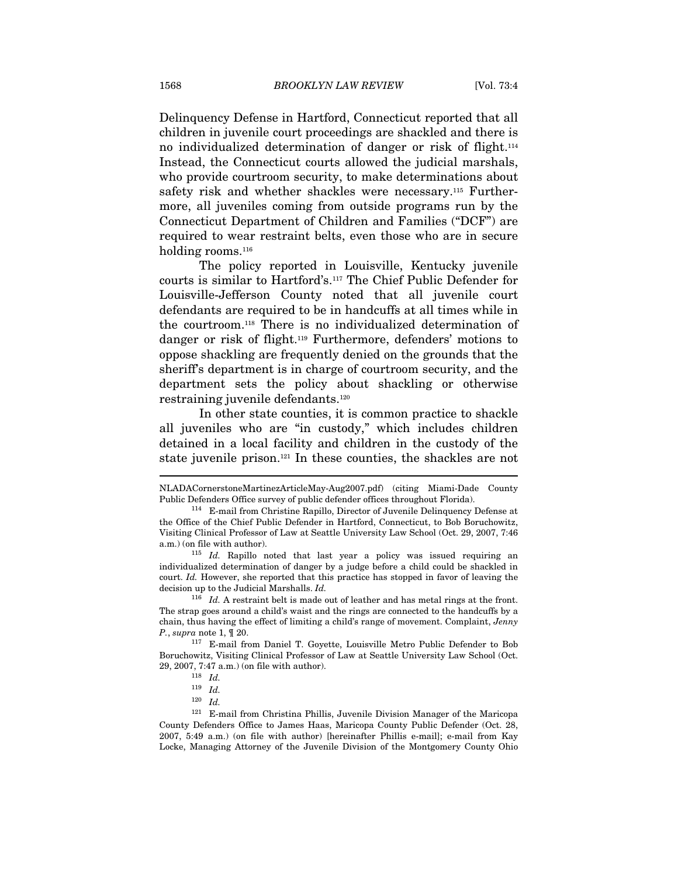Delinquency Defense in Hartford, Connecticut reported that all children in juvenile court proceedings are shackled and there is no individualized determination of danger or risk of flight.114 Instead, the Connecticut courts allowed the judicial marshals, who provide courtroom security, to make determinations about safety risk and whether shackles were necessary.<sup>115</sup> Furthermore, all juveniles coming from outside programs run by the Connecticut Department of Children and Families ("DCF") are required to wear restraint belts, even those who are in secure holding rooms.<sup>116</sup>

The policy reported in Louisville, Kentucky juvenile courts is similar to Hartford's.117 The Chief Public Defender for Louisville-Jefferson County noted that all juvenile court defendants are required to be in handcuffs at all times while in the courtroom.118 There is no individualized determination of danger or risk of flight.119 Furthermore, defenders' motions to oppose shackling are frequently denied on the grounds that the sheriff's department is in charge of courtroom security, and the department sets the policy about shackling or otherwise restraining juvenile defendants.120

In other state counties, it is common practice to shackle all juveniles who are "in custody," which includes children detained in a local facility and children in the custody of the state juvenile prison.121 In these counties, the shackles are not

NLADACornerstoneMartinezArticleMay-Aug2007.pdf) (citing Miami-Dade County Public Defenders Office survey of public defender offices throughout Florida). 114 E-mail from Christine Rapillo, Director of Juvenile Delinquency Defense at

the Office of the Chief Public Defender in Hartford, Connecticut, to Bob Boruchowitz, Visiting Clinical Professor of Law at Seattle University Law School (Oct. 29, 2007, 7:46 a.m.) (on file with author).<br> $115$  *Id.* Rapillo noted that last year a policy was issued requiring an

individualized determination of danger by a judge before a child could be shackled in court. Id. However, she reported that this practice has stopped in favor of leaving the decision up to the Judicial Marshalls. Id.<br><sup>116</sup> Id. A restraint belt is made out of leather and has metal rings at the front.

The strap goes around a child's waist and the rings are connected to the handcuffs by a chain, thus having the effect of limiting a child's range of movement. Complaint, Jenny P., supra note 1, ¶ 20.

<sup>117</sup> E-mail from Daniel T. Goyette, Louisville Metro Public Defender to Bob Boruchowitz, Visiting Clinical Professor of Law at Seattle University Law School (Oct. 29, 2007, 7:47 a.m.) (on file with author).  $118 \;\; Id.$ 

 $119$  *Id.* 

 $120 \quad Id.$ 

<sup>121</sup> E-mail from Christina Phillis, Juvenile Division Manager of the Maricopa County Defenders Office to James Haas, Maricopa County Public Defender (Oct. 28, 2007, 5:49 a.m.) (on file with author) [hereinafter Phillis e-mail]; e-mail from Kay Locke, Managing Attorney of the Juvenile Division of the Montgomery County Ohio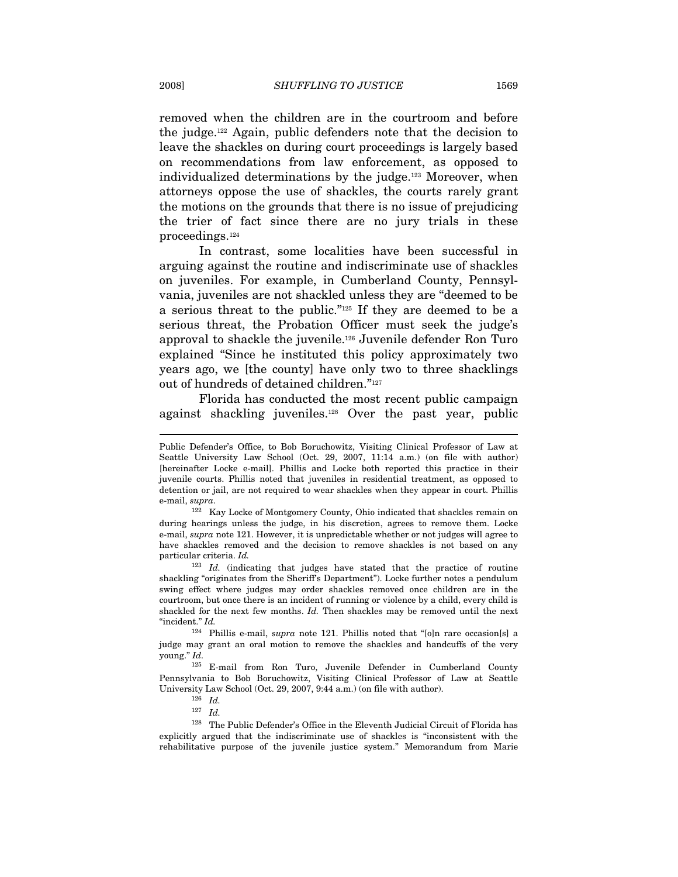removed when the children are in the courtroom and before the judge.122 Again, public defenders note that the decision to leave the shackles on during court proceedings is largely based on recommendations from law enforcement, as opposed to individualized determinations by the judge.<sup>123</sup> Moreover, when attorneys oppose the use of shackles, the courts rarely grant the motions on the grounds that there is no issue of prejudicing the trier of fact since there are no jury trials in these proceedings.124

In contrast, some localities have been successful in arguing against the routine and indiscriminate use of shackles on juveniles. For example, in Cumberland County, Pennsylvania, juveniles are not shackled unless they are "deemed to be a serious threat to the public."125 If they are deemed to be a serious threat, the Probation Officer must seek the judge's approval to shackle the juvenile.126 Juvenile defender Ron Turo explained "Since he instituted this policy approximately two years ago, we [the county] have only two to three shacklings out of hundreds of detained children."127

Florida has conducted the most recent public campaign against shackling juveniles.128 Over the past year, public

<sup>123</sup> Id. (indicating that judges have stated that the practice of routine shackling "originates from the Sheriff's Department"). Locke further notes a pendulum swing effect where judges may order shackles removed once children are in the courtroom, but once there is an incident of running or violence by a child, every child is shackled for the next few months. Id. Then shackles may be removed until the next

"incident." Id.<br><sup>124</sup> Phillis e-mail, *supra* note 121. Phillis noted that "[o]n rare occasion[s] a judge may grant an oral motion to remove the shackles and handcuffs of the very young." Id.

125 E-mail from Ron Turo, Juvenile Defender in Cumberland County Pennsylvania to Bob Boruchowitz, Visiting Clinical Professor of Law at Seattle University Law School (Oct. 29, 2007, 9:44 a.m.) (on file with author).  $^{126} \;\; Id.$ 

128 The Public Defender's Office in the Eleventh Judicial Circuit of Florida has explicitly argued that the indiscriminate use of shackles is "inconsistent with the rehabilitative purpose of the juvenile justice system." Memorandum from Marie

Public Defender's Office, to Bob Boruchowitz, Visiting Clinical Professor of Law at Seattle University Law School (Oct. 29, 2007, 11:14 a.m.) (on file with author) [hereinafter Locke e-mail]. Phillis and Locke both reported this practice in their juvenile courts. Phillis noted that juveniles in residential treatment, as opposed to detention or jail, are not required to wear shackles when they appear in court. Phillis e-mail, supra.

<sup>122</sup> Kay Locke of Montgomery County, Ohio indicated that shackles remain on during hearings unless the judge, in his discretion, agrees to remove them. Locke e-mail, supra note 121. However, it is unpredictable whether or not judges will agree to have shackles removed and the decision to remove shackles is not based on any particular criteria. Id.

 $127$  *Id.*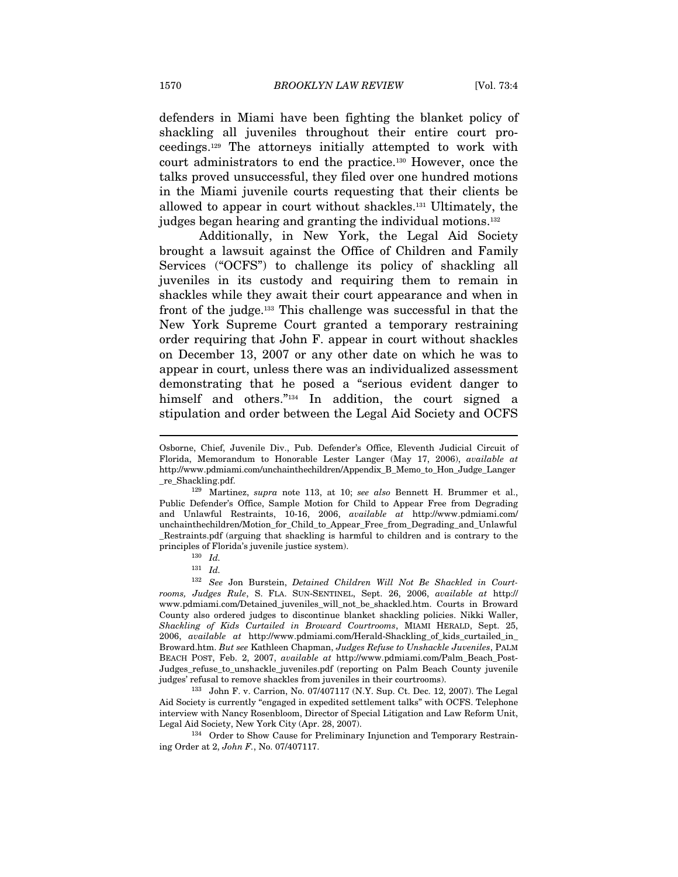defenders in Miami have been fighting the blanket policy of shackling all juveniles throughout their entire court proceedings.129 The attorneys initially attempted to work with court administrators to end the practice.130 However, once the talks proved unsuccessful, they filed over one hundred motions in the Miami juvenile courts requesting that their clients be allowed to appear in court without shackles.131 Ultimately, the judges began hearing and granting the individual motions.<sup>132</sup>

Additionally, in New York, the Legal Aid Society brought a lawsuit against the Office of Children and Family Services ("OCFS") to challenge its policy of shackling all juveniles in its custody and requiring them to remain in shackles while they await their court appearance and when in front of the judge.133 This challenge was successful in that the New York Supreme Court granted a temporary restraining order requiring that John F. appear in court without shackles on December 13, 2007 or any other date on which he was to appear in court, unless there was an individualized assessment demonstrating that he posed a "serious evident danger to himself and others."<sup>134</sup> In addition, the court signed a stipulation and order between the Legal Aid Society and OCFS

 $129$  Martinez, supra note 113, at 10; see also Bennett H. Brummer et al., Public Defender's Office, Sample Motion for Child to Appear Free from Degrading and Unlawful Restraints, 10-16, 2006, available at http://www.pdmiami.com/ unchainthechildren/Motion\_for\_Child\_to\_Appear\_Free\_from\_Degrading\_and\_Unlawful \_Restraints.pdf (arguing that shackling is harmful to children and is contrary to the principles of Florida's juvenile justice system).  $130\quad Id.$ 

 $\overline{a}$ 

<sup>132</sup> See Jon Burstein, Detained Children Will Not Be Shackled in Courtrooms, Judges Rule, S. FLA. SUN-SENTINEL, Sept. 26, 2006, available at http:// www.pdmiami.com/Detained\_juveniles\_will\_not\_be\_shackled.htm. Courts in Broward County also ordered judges to discontinue blanket shackling policies. Nikki Waller, Shackling of Kids Curtailed in Broward Courtrooms, MIAMI HERALD, Sept. 25, 2006, available at http://www.pdmiami.com/Herald-Shackling\_of\_kids\_curtailed\_in\_ Broward.htm. But see Kathleen Chapman, Judges Refuse to Unshackle Juveniles, PALM BEACH POST, Feb. 2, 2007, available at http://www.pdmiami.com/Palm\_Beach\_Post-Judges\_refuse\_to\_unshackle\_juveniles.pdf (reporting on Palm Beach County juvenile judges' refusal to remove shackles from juveniles in their courtrooms). 133 John F. v. Carrion, No. 07/407117 (N.Y. Sup. Ct. Dec. 12, 2007). The Legal

Aid Society is currently "engaged in expedited settlement talks" with OCFS. Telephone interview with Nancy Rosenbloom, Director of Special Litigation and Law Reform Unit,

 ${\bf \emph{Legal Aid Society, New York City (Apr. 28, 2007).}} {\bf \emph{134 Order to Show Cause for Preliminary Injunction and Temporary Restrain-}}$ ing Order at 2, John F., No. 07/407117.

Osborne, Chief, Juvenile Div., Pub. Defender's Office, Eleventh Judicial Circuit of Florida, Memorandum to Honorable Lester Langer (May 17, 2006), available at http://www.pdmiami.com/unchainthechildren/Appendix\_B\_Memo\_to\_Hon\_Judge\_Langer

<sup>131</sup> Id.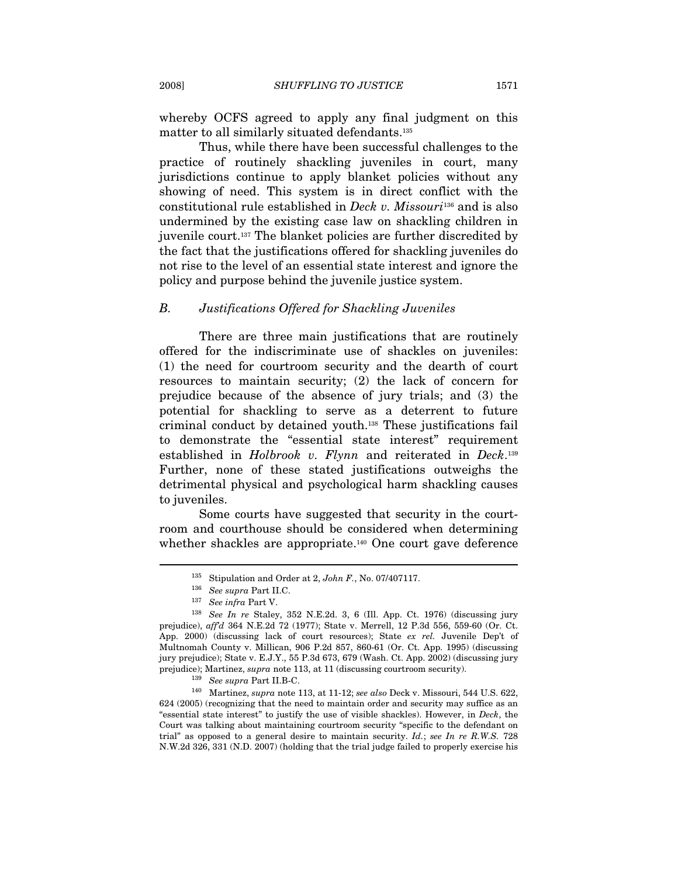whereby OCFS agreed to apply any final judgment on this matter to all similarly situated defendants.135

Thus, while there have been successful challenges to the practice of routinely shackling juveniles in court, many jurisdictions continue to apply blanket policies without any showing of need. This system is in direct conflict with the constitutional rule established in Deck v. Missouri<sup>136</sup> and is also undermined by the existing case law on shackling children in juvenile court.137 The blanket policies are further discredited by the fact that the justifications offered for shackling juveniles do not rise to the level of an essential state interest and ignore the policy and purpose behind the juvenile justice system.

### B. Justifications Offered for Shackling Juveniles

There are three main justifications that are routinely offered for the indiscriminate use of shackles on juveniles: (1) the need for courtroom security and the dearth of court resources to maintain security; (2) the lack of concern for prejudice because of the absence of jury trials; and (3) the potential for shackling to serve as a deterrent to future criminal conduct by detained youth.138 These justifications fail to demonstrate the "essential state interest" requirement established in Holbrook v. Flynn and reiterated in Deck.<sup>139</sup> Further, none of these stated justifications outweighs the detrimental physical and psychological harm shackling causes to juveniles.

Some courts have suggested that security in the courtroom and courthouse should be considered when determining whether shackles are appropriate.<sup>140</sup> One court gave deference

<sup>&</sup>lt;sup>135</sup> Stipulation and Order at 2, *John F*., No. 07/407117.<br><sup>136</sup> See supra Part II.C. <sup>137</sup> See infra Part V.

<sup>138</sup> See In re Staley, 352 N.E.2d. 3, 6 (Ill. App. Ct. 1976) (discussing jury prejudice), aff'd 364 N.E.2d 72 (1977); State v. Merrell, 12 P.3d 556, 559-60 (Or. Ct. App. 2000) (discussing lack of court resources); State ex rel. Juvenile Dep't of Multnomah County v. Millican, 906 P.2d 857, 860-61 (Or. Ct. App. 1995) (discussing jury prejudice); State v. E.J.Y., 55 P.3d 673, 679 (Wash. Ct. App. 2002) (discussing jury prejudice); Martinez, *supra* note 113, at 11 (discussing courtroom security).<br><sup>139</sup> See supra Part II.B-C. <sup>140</sup> Martinez, *supra* note 113, at 11-12; *see also* Deck v. Missouri, 544 U.S. 622,

<sup>624 (2005) (</sup>recognizing that the need to maintain order and security may suffice as an "essential state interest" to justify the use of visible shackles). However, in Deck, the Court was talking about maintaining courtroom security "specific to the defendant on trial" as opposed to a general desire to maintain security.  $Id$ .; see In re R.W.S. 728 N.W.2d 326, 331 (N.D. 2007) (holding that the trial judge failed to properly exercise his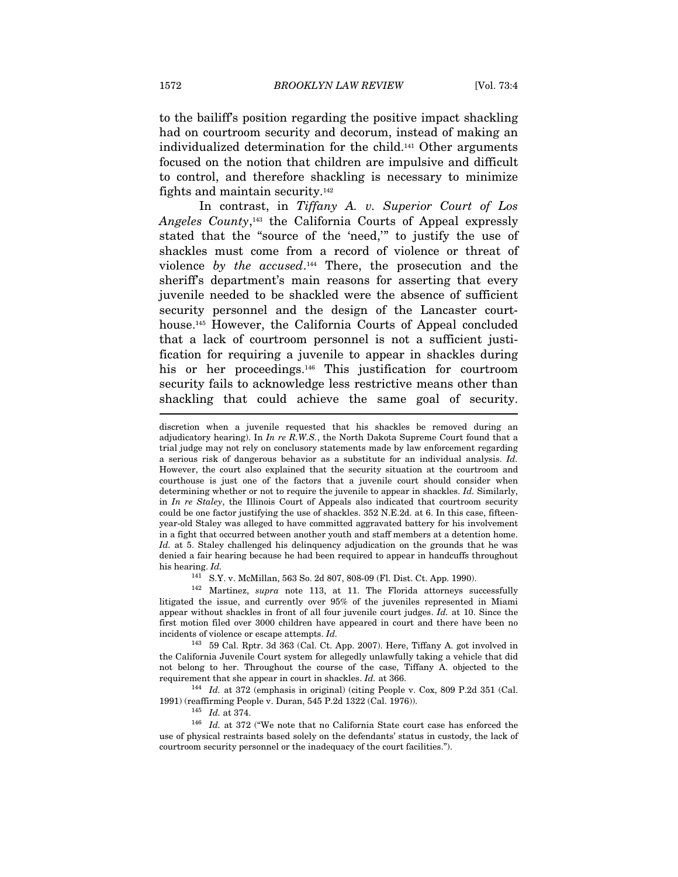to the bailiff's position regarding the positive impact shackling had on courtroom security and decorum, instead of making an individualized determination for the child.141 Other arguments focused on the notion that children are impulsive and difficult to control, and therefore shackling is necessary to minimize fights and maintain security.142

In contrast, in Tiffany A. v. Superior Court of Los Angeles County,143 the California Courts of Appeal expressly stated that the "source of the 'need,'" to justify the use of shackles must come from a record of violence or threat of violence by the  $accused$ .<sup>144</sup> There, the prosecution and the sheriff's department's main reasons for asserting that every juvenile needed to be shackled were the absence of sufficient security personnel and the design of the Lancaster courthouse.145 However, the California Courts of Appeal concluded that a lack of courtroom personnel is not a sufficient justification for requiring a juvenile to appear in shackles during his or her proceedings.<sup>146</sup> This justification for courtroom security fails to acknowledge less restrictive means other than shackling that could achieve the same goal of security. I

 $142$  Martinez, supra note 113, at 11. The Florida attorneys successfully litigated the issue, and currently over 95% of the juveniles represented in Miami appear without shackles in front of all four juvenile court judges. Id. at 10. Since the first motion filed over 3000 children have appeared in court and there have been no incidents of violence or escape attempts. Id. 143 59 Cal. Rptr. 3d 363 (Cal. Ct. App. 2007). Here, Tiffany A. got involved in

the California Juvenile Court system for allegedly unlawfully taking a vehicle that did not belong to her. Throughout the course of the case, Tiffany A. objected to the requirement that she appear in court in shackles. Id. at 366.<br><sup>144</sup> Id. at 372 (emphasis in original) (citing People v. Cox, 809 P.2d 351 (Cal.

1991) (reaffirming People v. Duran, 545 P.2d 1322 (Cal. 1976)).<br><sup>145</sup> Id. at 374.<br><sup>146</sup> Id. at 372 ("We note that no California State court case has enforced the

use of physical restraints based solely on the defendants' status in custody, the lack of courtroom security personnel or the inadequacy of the court facilities.").

discretion when a juvenile requested that his shackles be removed during an adjudicatory hearing). In  $In$  re  $R.W.S.,$  the North Dakota Supreme Court found that a trial judge may not rely on conclusory statements made by law enforcement regarding a serious risk of dangerous behavior as a substitute for an individual analysis. Id. However, the court also explained that the security situation at the courtroom and courthouse is just one of the factors that a juvenile court should consider when determining whether or not to require the juvenile to appear in shackles. Id. Similarly, in In re Staley, the Illinois Court of Appeals also indicated that courtroom security could be one factor justifying the use of shackles. 352 N.E.2d. at 6. In this case, fifteenyear-old Staley was alleged to have committed aggravated battery for his involvement in a fight that occurred between another youth and staff members at a detention home. Id. at 5. Staley challenged his delinquency adjudication on the grounds that he was denied a fair hearing because he had been required to appear in handcuffs throughout his hearing.  $Id$ .<br><sup>141</sup> S.Y. v. McMillan, 563 So. 2d 807, 808-09 (Fl. Dist. Ct. App. 1990).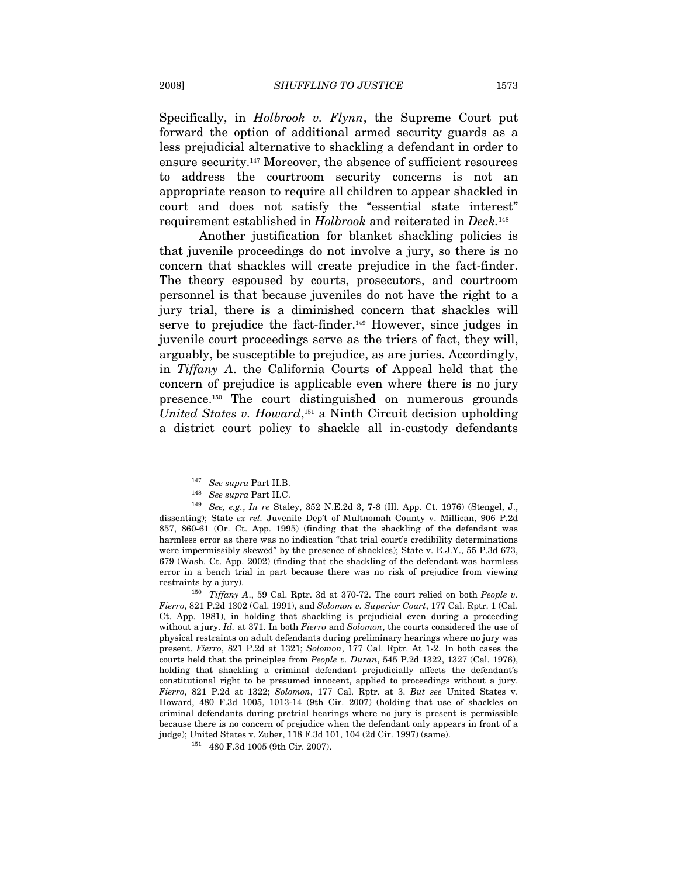Specifically, in *Holbrook v. Flynn*, the Supreme Court put forward the option of additional armed security guards as a less prejudicial alternative to shackling a defendant in order to ensure security.147 Moreover, the absence of sufficient resources to address the courtroom security concerns is not an appropriate reason to require all children to appear shackled in court and does not satisfy the "essential state interest" requirement established in Holbrook and reiterated in Deck.<sup>148</sup>

Another justification for blanket shackling policies is that juvenile proceedings do not involve a jury, so there is no concern that shackles will create prejudice in the fact-finder. The theory espoused by courts, prosecutors, and courtroom personnel is that because juveniles do not have the right to a jury trial, there is a diminished concern that shackles will serve to prejudice the fact-finder.<sup>149</sup> However, since judges in juvenile court proceedings serve as the triers of fact, they will, arguably, be susceptible to prejudice, as are juries. Accordingly, in Tiffany A. the California Courts of Appeal held that the concern of prejudice is applicable even where there is no jury presence.150 The court distinguished on numerous grounds United States v. Howard,<sup>151</sup> a Ninth Circuit decision upholding a district court policy to shackle all in-custody defendants

 $147$  See supra Part II.B.<br>
<sup>148</sup> See supra Part II.C.

<sup>149</sup> See, e.g., In re Staley, 352 N.E.2d 3, 7-8 (Ill. App. Ct. 1976) (Stengel, J., dissenting); State ex rel. Juvenile Dep't of Multnomah County v. Millican, 906 P.2d 857, 860-61 (Or. Ct. App. 1995) (finding that the shackling of the defendant was harmless error as there was no indication "that trial court's credibility determinations were impermissibly skewed" by the presence of shackles); State v. E.J.Y., 55 P.3d 673, 679 (Wash. Ct. App. 2002) (finding that the shackling of the defendant was harmless error in a bench trial in part because there was no risk of prejudice from viewing

restraints by a jury). 150 Tiffany A., 59 Cal. Rptr. 3d at 370-72. The court relied on both People v. Fierro, 821 P.2d 1302 (Cal. 1991), and Solomon v. Superior Court, 177 Cal. Rptr. 1 (Cal. Ct. App. 1981), in holding that shackling is prejudicial even during a proceeding without a jury. Id. at 371. In both Fierro and Solomon, the courts considered the use of physical restraints on adult defendants during preliminary hearings where no jury was present. Fierro, 821 P.2d at 1321; Solomon, 177 Cal. Rptr. At 1-2. In both cases the courts held that the principles from People v. Duran, 545 P.2d 1322, 1327 (Cal. 1976), holding that shackling a criminal defendant prejudicially affects the defendant's constitutional right to be presumed innocent, applied to proceedings without a jury. Fierro, 821 P.2d at 1322; Solomon, 177 Cal. Rptr. at 3. But see United States v. Howard, 480 F.3d 1005, 1013-14 (9th Cir. 2007) (holding that use of shackles on criminal defendants during pretrial hearings where no jury is present is permissible because there is no concern of prejudice when the defendant only appears in front of a judge); United States v. Zuber, 118 F.3d 101, 104 (2d Cir. 1997) (same). 151 480 F.3d 1005 (9th Cir. 2007).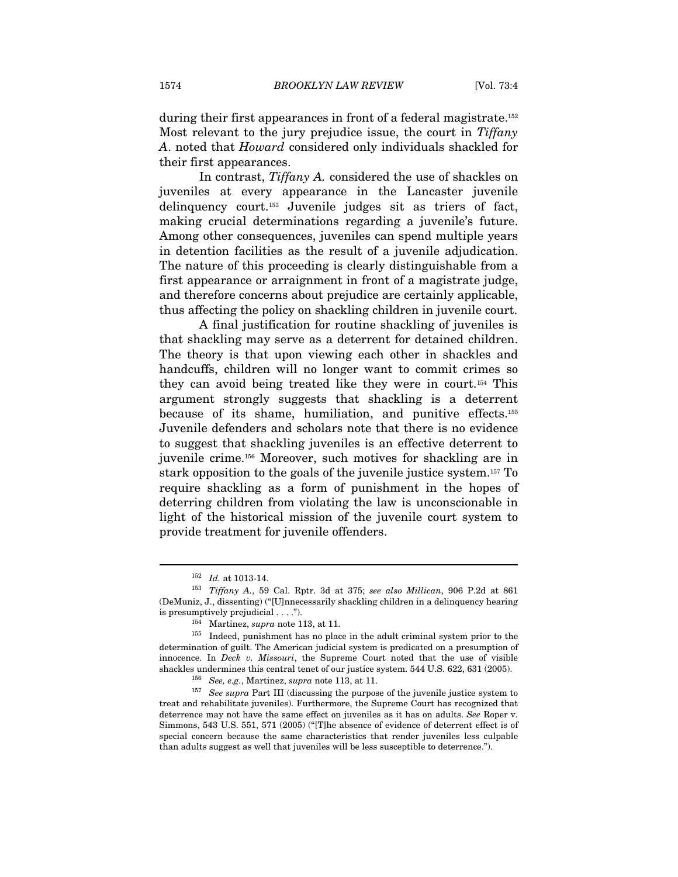during their first appearances in front of a federal magistrate.<sup>152</sup> Most relevant to the jury prejudice issue, the court in Tiffany A. noted that Howard considered only individuals shackled for their first appearances.

In contrast, Tiffany A. considered the use of shackles on juveniles at every appearance in the Lancaster juvenile delinquency court.153 Juvenile judges sit as triers of fact, making crucial determinations regarding a juvenile's future. Among other consequences, juveniles can spend multiple years in detention facilities as the result of a juvenile adjudication. The nature of this proceeding is clearly distinguishable from a first appearance or arraignment in front of a magistrate judge, and therefore concerns about prejudice are certainly applicable, thus affecting the policy on shackling children in juvenile court.

A final justification for routine shackling of juveniles is that shackling may serve as a deterrent for detained children. The theory is that upon viewing each other in shackles and handcuffs, children will no longer want to commit crimes so they can avoid being treated like they were in court.154 This argument strongly suggests that shackling is a deterrent because of its shame, humiliation, and punitive effects.155 Juvenile defenders and scholars note that there is no evidence to suggest that shackling juveniles is an effective deterrent to juvenile crime.156 Moreover, such motives for shackling are in stark opposition to the goals of the juvenile justice system.157 To require shackling as a form of punishment in the hopes of deterring children from violating the law is unconscionable in light of the historical mission of the juvenile court system to provide treatment for juvenile offenders.

<sup>&</sup>lt;sup>152</sup> Id. at 1013-14.<br><sup>153</sup> Tiffany A., 59 Cal. Rptr. 3d at 375; see also Millican, 906 P.2d at 861 (DeMuniz, J., dissenting) ("[U]nnecessarily shackling children in a delinquency hearing is presumptively prejudicial . . . .").<br> $^{154}$  Martinez, *supra* note 113, at 11.

<sup>155</sup> Indeed, punishment has no place in the adult criminal system prior to the determination of guilt. The American judicial system is predicated on a presumption of innocence. In Deck v. Missouri, the Supreme Court noted that the use of visible shackles undermines this central tenet of our justice system. 544 U.S. 622, 631 (2005).<br><sup>156</sup> See, e.g., Martinez, supra note 113, at 11.<br><sup>157</sup> See supra Part III (discussing the purpose of the juvenile justice system to

treat and rehabilitate juveniles). Furthermore, the Supreme Court has recognized that deterrence may not have the same effect on juveniles as it has on adults. See Roper v. Simmons, 543 U.S. 551, 571 (2005) ("[T]he absence of evidence of deterrent effect is of special concern because the same characteristics that render juveniles less culpable than adults suggest as well that juveniles will be less susceptible to deterrence.").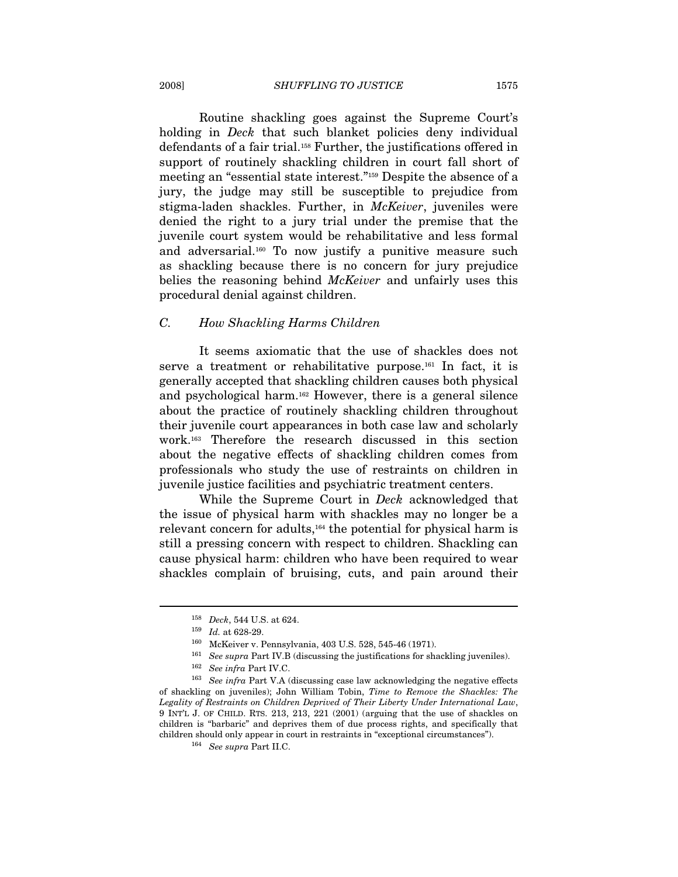Routine shackling goes against the Supreme Court's holding in *Deck* that such blanket policies deny individual defendants of a fair trial.158 Further, the justifications offered in support of routinely shackling children in court fall short of meeting an "essential state interest."159 Despite the absence of a jury, the judge may still be susceptible to prejudice from stigma-laden shackles. Further, in *McKeiver*, juveniles were denied the right to a jury trial under the premise that the juvenile court system would be rehabilitative and less formal and adversarial.160 To now justify a punitive measure such as shackling because there is no concern for jury prejudice belies the reasoning behind McKeiver and unfairly uses this procedural denial against children.

#### C. How Shackling Harms Children

It seems axiomatic that the use of shackles does not serve a treatment or rehabilitative purpose.161 In fact, it is generally accepted that shackling children causes both physical and psychological harm.162 However, there is a general silence about the practice of routinely shackling children throughout their juvenile court appearances in both case law and scholarly work.163 Therefore the research discussed in this section about the negative effects of shackling children comes from professionals who study the use of restraints on children in juvenile justice facilities and psychiatric treatment centers.

While the Supreme Court in Deck acknowledged that the issue of physical harm with shackles may no longer be a relevant concern for adults,164 the potential for physical harm is still a pressing concern with respect to children. Shackling can cause physical harm: children who have been required to wear shackles complain of bruising, cuts, and pain around their

<sup>&</sup>lt;sup>158</sup> *Deck*, 544 U.S. at 624.<br>
<sup>159</sup> *Id.* at 628-29.<br>
McKeiver v. Pennsylvania, 403 U.S. 528, 545-46 (1971).<br>
<sup>161</sup> *See supra* Part IV.B (discussing the justifications for shackling juveniles).<br>
<sup>162</sup> *See infra* Part of shackling on juveniles); John William Tobin, Time to Remove the Shackles: The Legality of Restraints on Children Deprived of Their Liberty Under International Law, 9 INT'L J. OF CHILD. RTS. 213, 213, 221 (2001) (arguing that the use of shackles on children is "barbaric" and deprives them of due process rights, and specifically that children should only appear in court in restraints in "exceptional circumstances").  $^{164}$  See supra Part II.C.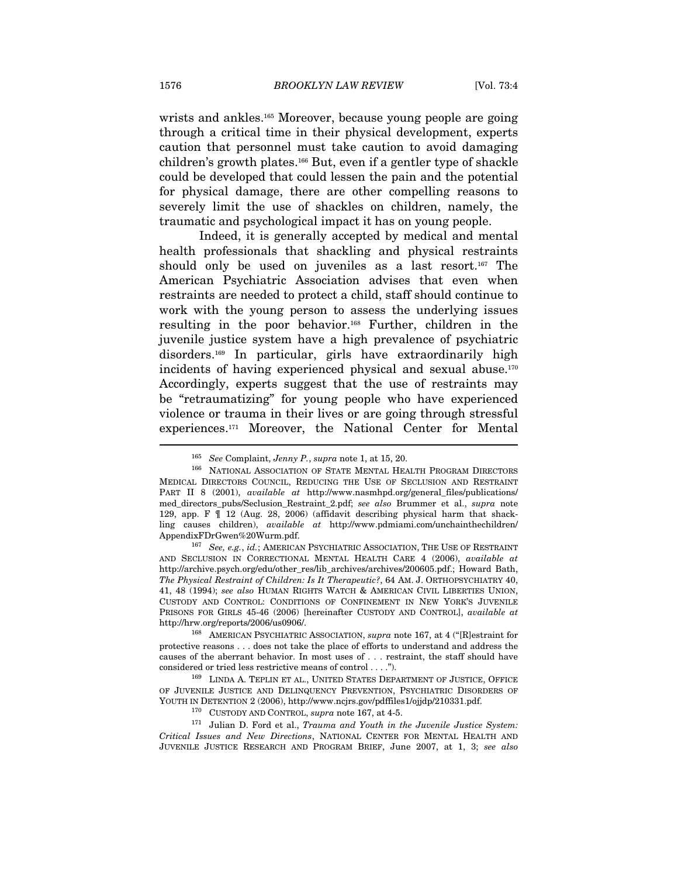wrists and ankles.<sup>165</sup> Moreover, because young people are going through a critical time in their physical development, experts caution that personnel must take caution to avoid damaging children's growth plates.166 But, even if a gentler type of shackle could be developed that could lessen the pain and the potential for physical damage, there are other compelling reasons to severely limit the use of shackles on children, namely, the traumatic and psychological impact it has on young people.

Indeed, it is generally accepted by medical and mental health professionals that shackling and physical restraints should only be used on juveniles as a last resort.<sup>167</sup> The American Psychiatric Association advises that even when restraints are needed to protect a child, staff should continue to work with the young person to assess the underlying issues resulting in the poor behavior.168 Further, children in the juvenile justice system have a high prevalence of psychiatric disorders.169 In particular, girls have extraordinarily high incidents of having experienced physical and sexual abuse.170 Accordingly, experts suggest that the use of restraints may be "retraumatizing" for young people who have experienced violence or trauma in their lives or are going through stressful experiences.171 Moreover, the National Center for Mental

<sup>&</sup>lt;sup>165</sup> See Complaint, Jenny P., supra note 1, at 15, 20.<br><sup>166</sup> NATIONAL ASSOCIATION OF STATE MENTAL HEALTH PROGRAM DIRECTORS MEDICAL DIRECTORS COUNCIL, REDUCING THE USE OF SECLUSION AND RESTRAINT PART II 8 (2001), available at http://www.nasmhpd.org/general\_files/publications/ med\_directors\_pubs/Seclusion\_Restraint\_2.pdf; see also Brummer et al., supra note 129, app. F ¶ 12 (Aug. 28, 2006) (affidavit describing physical harm that shackling causes children), available at http://www.pdmiami.com/unchainthechildren/ AppendixFDrGwen%20Wurm.pdf.<br><sup>167</sup> See, e.g., id.; AMERICAN PSYCHIATRIC ASSOCIATION, THE USE OF RESTRAINT

AND SECLUSION IN CORRECTIONAL MENTAL HEALTH CARE 4 (2006), available at http://archive.psych.org/edu/other\_res/lib\_archives/archives/200605.pdf.; Howard Bath, The Physical Restraint of Children: Is It Therapeutic?, 64 AM. J. ORTHOPSYCHIATRY 40, 41, 48 (1994); see also HUMAN RIGHTS WATCH & AMERICAN CIVIL LIBERTIES UNION, CUSTODY AND CONTROL: CONDITIONS OF CONFINEMENT IN NEW YORK'S JUVENILE PRISONS FOR GIRLS 45-46 (2006) [hereinafter CUSTODY AND CONTROL], available at http://hrw.org/reports/2006/us0906/. 168 AMERICAN PSYCHIATRIC ASSOCIATION, supra note 167, at 4 ("[R]estraint for

protective reasons . . . does not take the place of efforts to understand and address the causes of the aberrant behavior. In most uses of  $\dots$  restraint, the staff should have considered or tried less restrictive means of control  $\dots$ .").

<sup>&</sup>lt;sup>169</sup> LINDA A. TEPLIN ET AL., UNITED STATES DEPARTMENT OF JUSTICE, OFFICE OF JUVENILE JUSTICE AND DELINQUENCY PREVENTION, PSYCHIATRIC DISORDERS OF YOUTH IN DETENTION 2 (2006), http://www.ncjrs.gov/pdffiles1/ojjdp/210331.pdf.  $^{170}$  CUSTODY AND CONTROL, *supra* note 167, at 4-5.

<sup>&</sup>lt;sup>171</sup> Julian D. Ford et al., *Trauma and Youth in the Juvenile Justice System*: Critical Issues and New Directions, NATIONAL CENTER FOR MENTAL HEALTH AND JUVENILE JUSTICE RESEARCH AND PROGRAM BRIEF, June 2007, at 1, 3; see also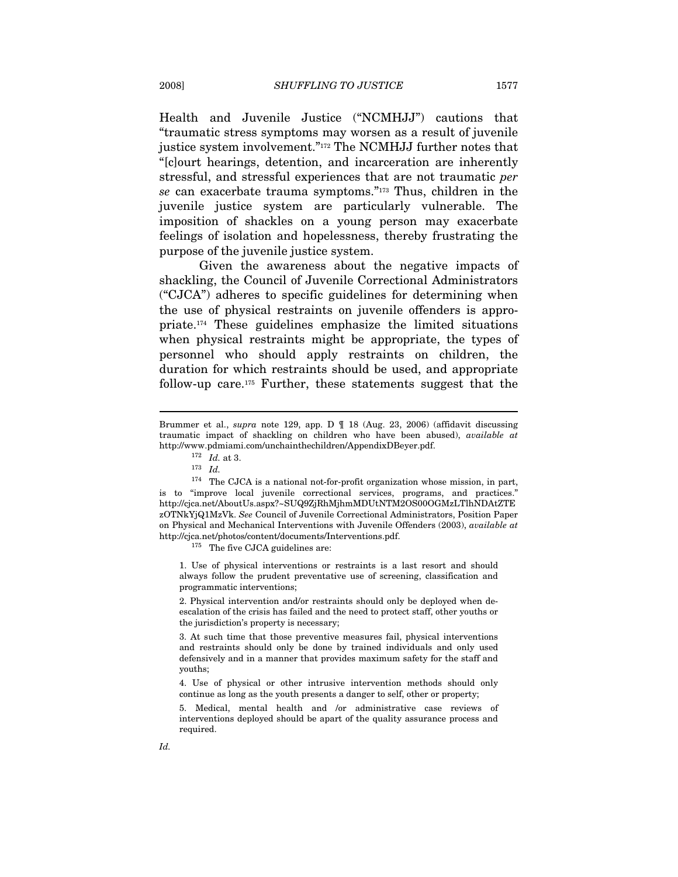Health and Juvenile Justice ("NCMHJJ") cautions that "traumatic stress symptoms may worsen as a result of juvenile justice system involvement."<sup>172</sup> The NCMHJJ further notes that "[c]ourt hearings, detention, and incarceration are inherently stressful, and stressful experiences that are not traumatic per se can exacerbate trauma symptoms."173 Thus, children in the juvenile justice system are particularly vulnerable. The imposition of shackles on a young person may exacerbate feelings of isolation and hopelessness, thereby frustrating the purpose of the juvenile justice system.

Given the awareness about the negative impacts of shackling, the Council of Juvenile Correctional Administrators ("CJCA") adheres to specific guidelines for determining when the use of physical restraints on juvenile offenders is appropriate.174 These guidelines emphasize the limited situations when physical restraints might be appropriate, the types of personnel who should apply restraints on children, the duration for which restraints should be used, and appropriate follow-up care.175 Further, these statements suggest that the

 $\overline{a}$ 

1. Use of physical interventions or restraints is a last resort and should always follow the prudent preventative use of screening, classification and programmatic interventions;

2. Physical intervention and/or restraints should only be deployed when deescalation of the crisis has failed and the need to protect staff, other youths or the jurisdiction's property is necessary;

3. At such time that those preventive measures fail, physical interventions and restraints should only be done by trained individuals and only used defensively and in a manner that provides maximum safety for the staff and youths;

4. Use of physical or other intrusive intervention methods should only continue as long as the youth presents a danger to self, other or property;

5. Medical, mental health and /or administrative case reviews of interventions deployed should be apart of the quality assurance process and required.

Brummer et al., supra note 129, app. D ¶ 18 (Aug. 23, 2006) (affidavit discussing traumatic impact of shackling on children who have been abused), available at http://www.pdmiami.com/unchainthechildren/AppendixDBeyer.pdf.  $^{172}$  Id. at 3.

 $173$  *Id.* 

 $^{174}\,$  The CJCA is a national not-for-profit organization whose mission, in part, is to "improve local juvenile correctional services, programs, and practices." http://cjca.net/AboutUs.aspx?~SUQ9ZjRhMjhmMDUtNTM2OS00OGMzLTlhNDAtZTE zOTNkYjQ1MzVk. See Council of Juvenile Correctional Administrators, Position Paper on Physical and Mechanical Interventions with Juvenile Offenders (2003), available at http://cjca.net/photos/content/documents/Interventions.pdf. 175 The five CJCA guidelines are: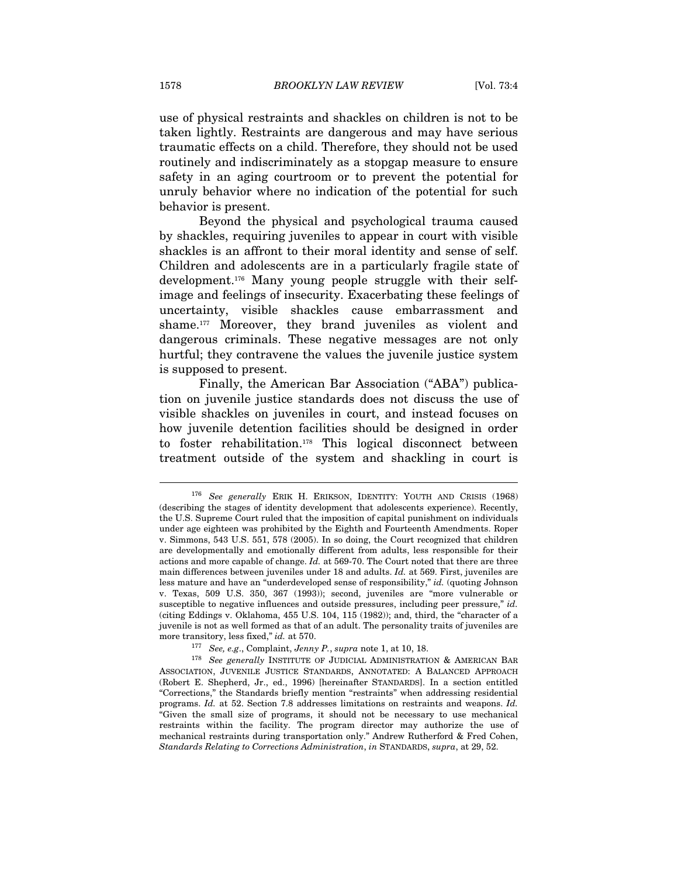use of physical restraints and shackles on children is not to be taken lightly. Restraints are dangerous and may have serious traumatic effects on a child. Therefore, they should not be used routinely and indiscriminately as a stopgap measure to ensure safety in an aging courtroom or to prevent the potential for unruly behavior where no indication of the potential for such behavior is present.

Beyond the physical and psychological trauma caused by shackles, requiring juveniles to appear in court with visible shackles is an affront to their moral identity and sense of self. Children and adolescents are in a particularly fragile state of development.176 Many young people struggle with their selfimage and feelings of insecurity. Exacerbating these feelings of uncertainty, visible shackles cause embarrassment and shame.<sup>177</sup> Moreover, they brand juveniles as violent and dangerous criminals. These negative messages are not only hurtful; they contravene the values the juvenile justice system is supposed to present.

Finally, the American Bar Association ("ABA") publication on juvenile justice standards does not discuss the use of visible shackles on juveniles in court, and instead focuses on how juvenile detention facilities should be designed in order to foster rehabilitation.178 This logical disconnect between treatment outside of the system and shackling in court is

<sup>176</sup> See generally ERIK H. ERIKSON, IDENTITY: YOUTH AND CRISIS (1968) (describing the stages of identity development that adolescents experience). Recently, the U.S. Supreme Court ruled that the imposition of capital punishment on individuals under age eighteen was prohibited by the Eighth and Fourteenth Amendments. Roper v. Simmons, 543 U.S. 551, 578 (2005). In so doing, the Court recognized that children are developmentally and emotionally different from adults, less responsible for their actions and more capable of change. Id. at 569-70. The Court noted that there are three main differences between juveniles under 18 and adults. Id. at 569. First, juveniles are less mature and have an "underdeveloped sense of responsibility," *id.* (quoting Johnson v. Texas, 509 U.S. 350, 367 (1993)); second, juveniles are "more vulnerable or susceptible to negative influences and outside pressures, including peer pressure," id. (citing Eddings v. Oklahoma, 455 U.S. 104, 115 (1982)); and, third, the "character of a juvenile is not as well formed as that of an adult. The personality traits of juveniles are

more transitory, less fixed," *id.* at 570.<br><sup>177</sup> See, e.g., Complaint, Jenny P., supra note 1, at 10, 18.<br><sup>178</sup> See generally INSTITUTE OF JUDICIAL ADMINISTRATION & AMERICAN BAR ASSOCIATION, JUVENILE JUSTICE STANDARDS, ANNOTATED: A BALANCED APPROACH (Robert E. Shepherd, Jr., ed., 1996) [hereinafter STANDARDS]. In a section entitled "Corrections," the Standards briefly mention "restraints" when addressing residential programs. Id. at 52. Section 7.8 addresses limitations on restraints and weapons. Id. "Given the small size of programs, it should not be necessary to use mechanical restraints within the facility. The program director may authorize the use of mechanical restraints during transportation only." Andrew Rutherford & Fred Cohen, Standards Relating to Corrections Administration, in STANDARDS, supra, at 29, 52.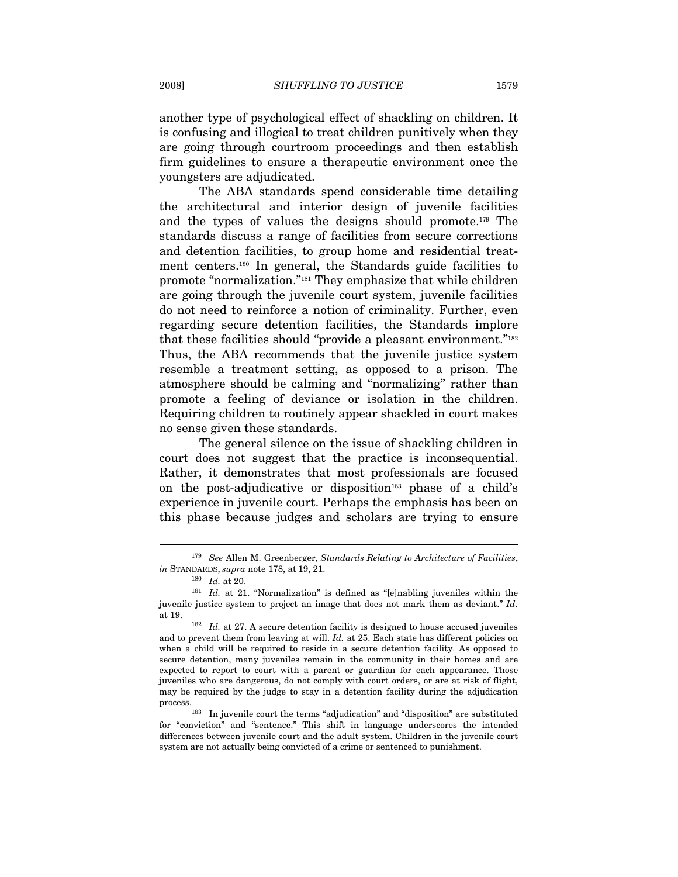another type of psychological effect of shackling on children. It is confusing and illogical to treat children punitively when they are going through courtroom proceedings and then establish firm guidelines to ensure a therapeutic environment once the youngsters are adjudicated.

The ABA standards spend considerable time detailing the architectural and interior design of juvenile facilities and the types of values the designs should promote.179 The standards discuss a range of facilities from secure corrections and detention facilities, to group home and residential treatment centers.180 In general, the Standards guide facilities to promote "normalization."181 They emphasize that while children are going through the juvenile court system, juvenile facilities do not need to reinforce a notion of criminality. Further, even regarding secure detention facilities, the Standards implore that these facilities should "provide a pleasant environment."<sup>182</sup> Thus, the ABA recommends that the juvenile justice system resemble a treatment setting, as opposed to a prison. The atmosphere should be calming and "normalizing" rather than promote a feeling of deviance or isolation in the children. Requiring children to routinely appear shackled in court makes no sense given these standards.

The general silence on the issue of shackling children in court does not suggest that the practice is inconsequential. Rather, it demonstrates that most professionals are focused on the post-adjudicative or disposition<sup>183</sup> phase of a child's experience in juvenile court. Perhaps the emphasis has been on this phase because judges and scholars are trying to ensure

<sup>&</sup>lt;sup>179</sup> See Allen M. Greenberger, Standards Relating to Architecture of Facilities, in STANDARDS, supra note 178, at 19, 21.<br><sup>180</sup> Id. at 20. <sup>181</sup> Id. at 21. "Normalization" is defined as "[e]nabling juveniles within the

juvenile justice system to project an image that does not mark them as deviant." Id.

at 19.  $182$  Id. at 27. A secure detention facility is designed to house accused juveniles and to prevent them from leaving at will. Id. at 25. Each state has different policies on when a child will be required to reside in a secure detention facility. As opposed to secure detention, many juveniles remain in the community in their homes and are expected to report to court with a parent or guardian for each appearance. Those juveniles who are dangerous, do not comply with court orders, or are at risk of flight, may be required by the judge to stay in a detention facility during the adjudication process. 183 In juvenile court the terms "adjudication" and "disposition" are substituted

for "conviction" and "sentence." This shift in language underscores the intended differences between juvenile court and the adult system. Children in the juvenile court system are not actually being convicted of a crime or sentenced to punishment.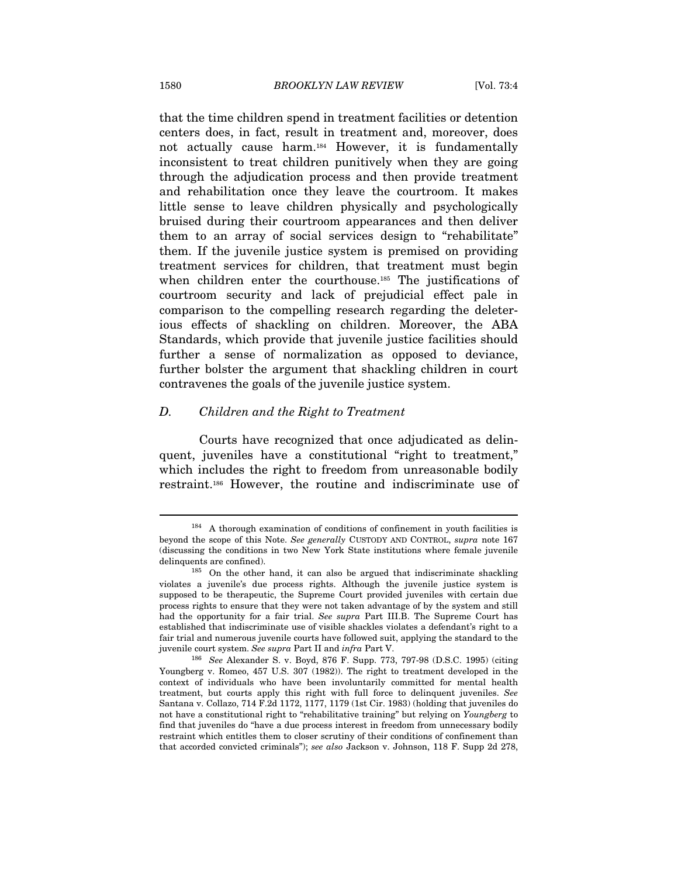that the time children spend in treatment facilities or detention centers does, in fact, result in treatment and, moreover, does not actually cause harm.184 However, it is fundamentally inconsistent to treat children punitively when they are going through the adjudication process and then provide treatment and rehabilitation once they leave the courtroom. It makes little sense to leave children physically and psychologically bruised during their courtroom appearances and then deliver them to an array of social services design to "rehabilitate" them. If the juvenile justice system is premised on providing treatment services for children, that treatment must begin when children enter the courthouse.<sup>185</sup> The justifications of courtroom security and lack of prejudicial effect pale in comparison to the compelling research regarding the deleterious effects of shackling on children. Moreover, the ABA Standards, which provide that juvenile justice facilities should further a sense of normalization as opposed to deviance, further bolster the argument that shackling children in court contravenes the goals of the juvenile justice system.

#### D. Children and the Right to Treatment

Courts have recognized that once adjudicated as delinquent, juveniles have a constitutional "right to treatment," which includes the right to freedom from unreasonable bodily restraint.186 However, the routine and indiscriminate use of

<sup>184</sup> A thorough examination of conditions of confinement in youth facilities is beyond the scope of this Note. See generally CUSTODY AND CONTROL, supra note 167 (discussing the conditions in two New York State institutions where female juvenile delinquents are confined).<br><sup>185</sup> On the other hand, it can also be argued that indiscriminate shackling

violates a juvenile's due process rights. Although the juvenile justice system is supposed to be therapeutic, the Supreme Court provided juveniles with certain due process rights to ensure that they were not taken advantage of by the system and still had the opportunity for a fair trial. See supra Part III.B. The Supreme Court has established that indiscriminate use of visible shackles violates a defendant's right to a fair trial and numerous juvenile courts have followed suit, applying the standard to the juvenile court system. See supra Part II and infra Part V.<br><sup>186</sup> See Alexander S. v. Boyd, 876 F. Supp. 773, 797-98 (D.S.C. 1995) (citing

Youngberg v. Romeo, 457 U.S. 307 (1982)). The right to treatment developed in the context of individuals who have been involuntarily committed for mental health treatment, but courts apply this right with full force to delinquent juveniles. See Santana v. Collazo, 714 F.2d 1172, 1177, 1179 (1st Cir. 1983) (holding that juveniles do not have a constitutional right to "rehabilitative training" but relying on Youngberg to find that juveniles do "have a due process interest in freedom from unnecessary bodily restraint which entitles them to closer scrutiny of their conditions of confinement than that accorded convicted criminals"); see also Jackson v. Johnson, 118 F. Supp 2d 278,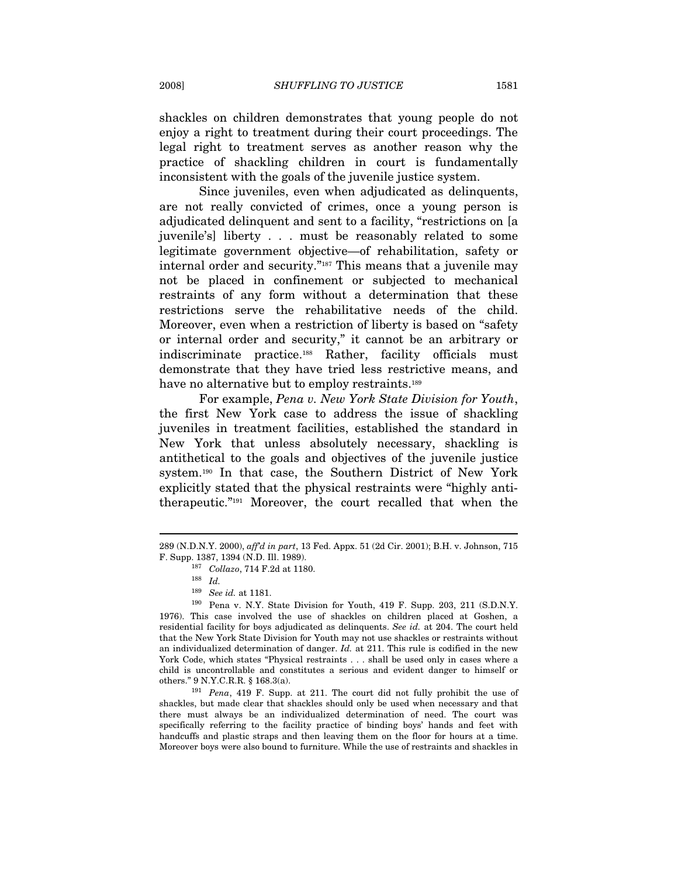shackles on children demonstrates that young people do not enjoy a right to treatment during their court proceedings. The legal right to treatment serves as another reason why the practice of shackling children in court is fundamentally inconsistent with the goals of the juvenile justice system.

Since juveniles, even when adjudicated as delinquents, are not really convicted of crimes, once a young person is adjudicated delinquent and sent to a facility, "restrictions on [a juvenile's] liberty . . . must be reasonably related to some legitimate government objective—of rehabilitation, safety or internal order and security."187 This means that a juvenile may not be placed in confinement or subjected to mechanical restraints of any form without a determination that these restrictions serve the rehabilitative needs of the child. Moreover, even when a restriction of liberty is based on "safety or internal order and security," it cannot be an arbitrary or indiscriminate practice.188 Rather, facility officials must demonstrate that they have tried less restrictive means, and have no alternative but to employ restraints.<sup>189</sup>

For example, Pena v. New York State Division for Youth, the first New York case to address the issue of shackling juveniles in treatment facilities, established the standard in New York that unless absolutely necessary, shackling is antithetical to the goals and objectives of the juvenile justice system.190 In that case, the Southern District of New York explicitly stated that the physical restraints were "highly antitherapeutic."191 Moreover, the court recalled that when the

 $\overline{a}$ 

shackles, but made clear that shackles should only be used when necessary and that there must always be an individualized determination of need. The court was specifically referring to the facility practice of binding boys' hands and feet with handcuffs and plastic straps and then leaving them on the floor for hours at a time. Moreover boys were also bound to furniture. While the use of restraints and shackles in

<sup>289 (</sup>N.D.N.Y. 2000), aff'd in part, 13 Fed. Appx. 51 (2d Cir. 2001); B.H. v. Johnson, 715 F. Supp. 1387, 1394 (N.D. Ill. 1989).<br><sup>187</sup> Collazo, 714 F.2d at 1180.<br><sup>188</sup> Id.

<sup>&</sup>lt;sup>189</sup> See id. at 1181.<br><sup>190</sup> Pena v. N.Y. State Division for Youth, 419 F. Supp. 203, 211 (S.D.N.Y. 1976). This case involved the use of shackles on children placed at Goshen, a residential facility for boys adjudicated as delinquents. See id. at 204. The court held that the New York State Division for Youth may not use shackles or restraints without an individualized determination of danger.  $Id$ . at 211. This rule is codified in the new York Code, which states "Physical restraints . . . shall be used only in cases where a child is uncontrollable and constitutes a serious and evident danger to himself or others." 9 N.Y.C.R.R. § 168.3(a). 191 Pena, 419 F. Supp. at 211. The court did not fully prohibit the use of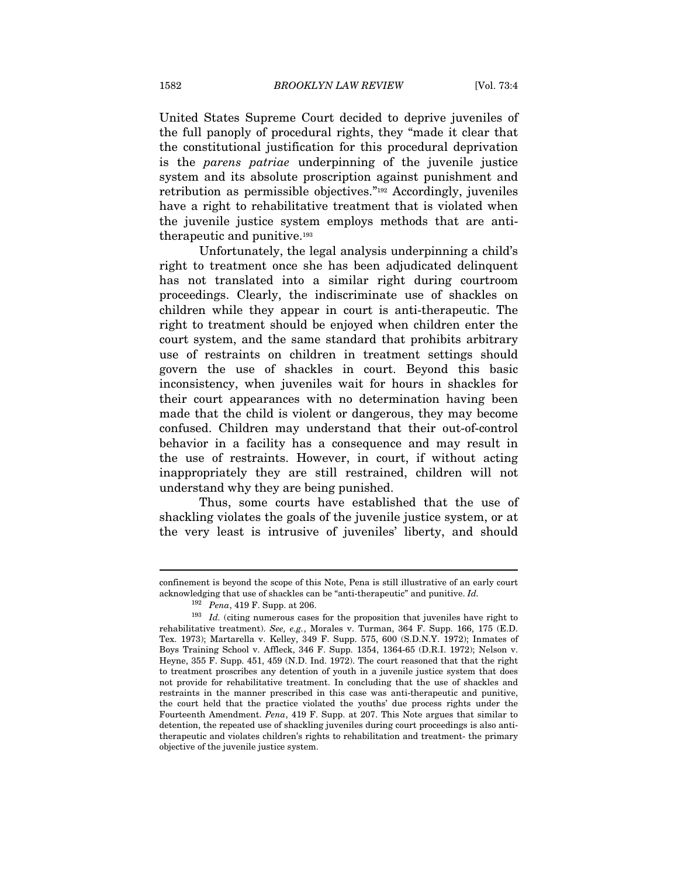United States Supreme Court decided to deprive juveniles of the full panoply of procedural rights, they "made it clear that the constitutional justification for this procedural deprivation is the parens patriae underpinning of the juvenile justice system and its absolute proscription against punishment and retribution as permissible objectives."192 Accordingly, juveniles have a right to rehabilitative treatment that is violated when the juvenile justice system employs methods that are antitherapeutic and punitive.193

Unfortunately, the legal analysis underpinning a child's right to treatment once she has been adjudicated delinquent has not translated into a similar right during courtroom proceedings. Clearly, the indiscriminate use of shackles on children while they appear in court is anti-therapeutic. The right to treatment should be enjoyed when children enter the court system, and the same standard that prohibits arbitrary use of restraints on children in treatment settings should govern the use of shackles in court. Beyond this basic inconsistency, when juveniles wait for hours in shackles for their court appearances with no determination having been made that the child is violent or dangerous, they may become confused. Children may understand that their out-of-control behavior in a facility has a consequence and may result in the use of restraints. However, in court, if without acting inappropriately they are still restrained, children will not understand why they are being punished.

Thus, some courts have established that the use of shackling violates the goals of the juvenile justice system, or at the very least is intrusive of juveniles' liberty, and should

confinement is beyond the scope of this Note, Pena is still illustrative of an early court acknowledging that use of shackles can be "anti-therapeutic" and punitive. Id.

<sup>&</sup>lt;sup>192</sup> Pena, 419 F. Supp. at 206.<br><sup>193</sup> Id. (citing numerous cases for the proposition that juveniles have right to rehabilitative treatment). See, e.g., Morales v. Turman, 364 F. Supp. 166, 175 (E.D. Tex. 1973); Martarella v. Kelley, 349 F. Supp. 575, 600 (S.D.N.Y. 1972); Inmates of Boys Training School v. Affleck, 346 F. Supp. 1354, 1364-65 (D.R.I. 1972); Nelson v. Heyne, 355 F. Supp. 451, 459 (N.D. Ind. 1972). The court reasoned that that the right to treatment proscribes any detention of youth in a juvenile justice system that does not provide for rehabilitative treatment. In concluding that the use of shackles and restraints in the manner prescribed in this case was anti-therapeutic and punitive, the court held that the practice violated the youths' due process rights under the Fourteenth Amendment. Pena, 419 F. Supp. at 207. This Note argues that similar to detention, the repeated use of shackling juveniles during court proceedings is also antitherapeutic and violates children's rights to rehabilitation and treatment- the primary objective of the juvenile justice system.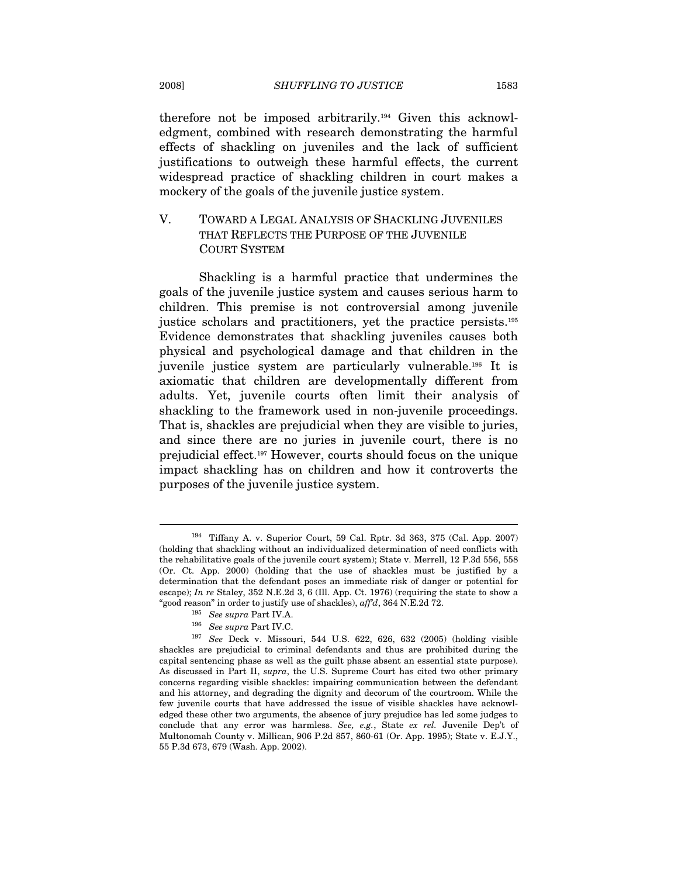therefore not be imposed arbitrarily.194 Given this acknowledgment, combined with research demonstrating the harmful effects of shackling on juveniles and the lack of sufficient justifications to outweigh these harmful effects, the current widespread practice of shackling children in court makes a mockery of the goals of the juvenile justice system.

# V. TOWARD A LEGAL ANALYSIS OF SHACKLING JUVENILES THAT REFLECTS THE PURPOSE OF THE JUVENILE COURT SYSTEM

Shackling is a harmful practice that undermines the goals of the juvenile justice system and causes serious harm to children. This premise is not controversial among juvenile justice scholars and practitioners, yet the practice persists.195 Evidence demonstrates that shackling juveniles causes both physical and psychological damage and that children in the juvenile justice system are particularly vulnerable.196 It is axiomatic that children are developmentally different from adults. Yet, juvenile courts often limit their analysis of shackling to the framework used in non-juvenile proceedings. That is, shackles are prejudicial when they are visible to juries, and since there are no juries in juvenile court, there is no prejudicial effect.197 However, courts should focus on the unique impact shackling has on children and how it controverts the purposes of the juvenile justice system.

<sup>194</sup> Tiffany A. v. Superior Court, 59 Cal. Rptr. 3d 363, 375 (Cal. App. 2007) (holding that shackling without an individualized determination of need conflicts with the rehabilitative goals of the juvenile court system); State v. Merrell, 12 P.3d 556, 558 (Or. Ct. App. 2000) (holding that the use of shackles must be justified by a determination that the defendant poses an immediate risk of danger or potential for escape); In re Staley, 352 N.E.2d 3, 6 (Ill. App. Ct. 1976) (requiring the state to show a "good reason" in order to justify use of shackles),  $\alpha f/d$ , 364 N.E.2d 72.

<sup>&</sup>lt;sup>195</sup> See supra Part IV.A.<br><sup>196</sup> See supra Part IV.C.<br><sup>197</sup> See Deck v. Missouri, 544 U.S. 622, 626, 632 (2005) (holding visible shackles are prejudicial to criminal defendants and thus are prohibited during the capital sentencing phase as well as the guilt phase absent an essential state purpose). As discussed in Part II, supra, the U.S. Supreme Court has cited two other primary concerns regarding visible shackles: impairing communication between the defendant and his attorney, and degrading the dignity and decorum of the courtroom. While the few juvenile courts that have addressed the issue of visible shackles have acknowledged these other two arguments, the absence of jury prejudice has led some judges to conclude that any error was harmless. See, e.g., State ex rel. Juvenile Dep't of Multonomah County v. Millican, 906 P.2d 857, 860-61 (Or. App. 1995); State v. E.J.Y., 55 P.3d 673, 679 (Wash. App. 2002).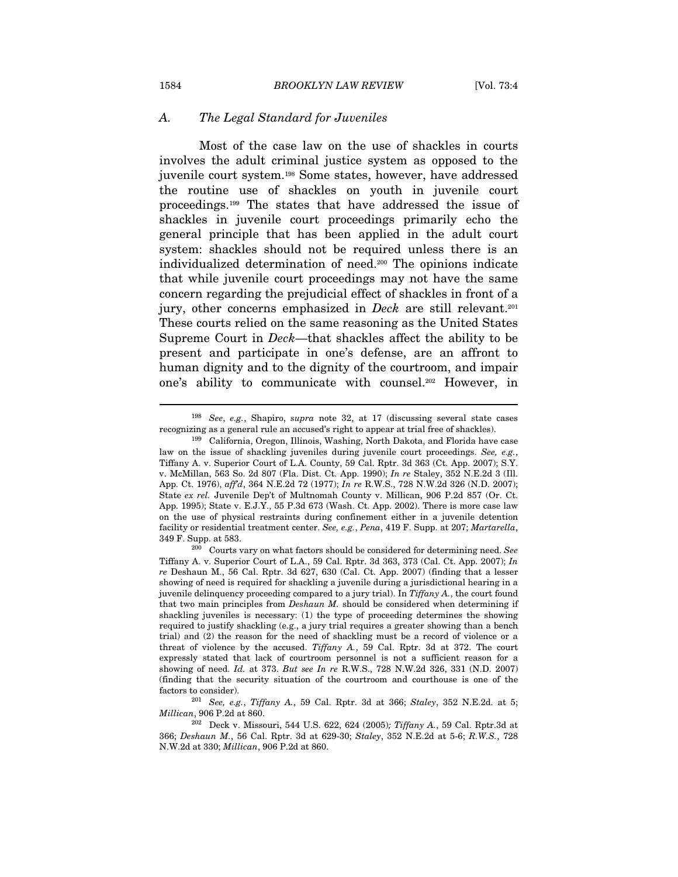#### A. The Legal Standard for Juveniles

Most of the case law on the use of shackles in courts involves the adult criminal justice system as opposed to the juvenile court system.198 Some states, however, have addressed the routine use of shackles on youth in juvenile court proceedings.199 The states that have addressed the issue of shackles in juvenile court proceedings primarily echo the general principle that has been applied in the adult court system: shackles should not be required unless there is an individualized determination of need.200 The opinions indicate that while juvenile court proceedings may not have the same concern regarding the prejudicial effect of shackles in front of a jury, other concerns emphasized in *Deck* are still relevant.<sup>201</sup> These courts relied on the same reasoning as the United States Supreme Court in Deck—that shackles affect the ability to be present and participate in one's defense, are an affront to human dignity and to the dignity of the courtroom, and impair one's ability to communicate with counsel.202 However, in

<sup>&</sup>lt;sup>198</sup> See, e.g., Shapiro, *supra* note 32, at 17 (discussing several state cases

recognizing as a general rule an accused's right to appear at trial free of shackles). 199 California, Oregon, Illinois, Washing, North Dakota, and Florida have case law on the issue of shackling juveniles during juvenile court proceedings. See, e.g., Tiffany A. v. Superior Court of L.A. County, 59 Cal. Rptr. 3d 363 (Ct. App. 2007); S.Y. v. McMillan, 563 So. 2d 807 (Fla. Dist. Ct. App. 1990); In re Staley, 352 N.E.2d 3 (Ill. App. Ct. 1976), aff'd, 364 N.E.2d 72 (1977); In re R.W.S., 728 N.W.2d 326 (N.D. 2007); State ex rel. Juvenile Dep't of Multnomah County v. Millican, 906 P.2d 857 (Or. Ct. App. 1995); State v. E.J.Y., 55 P.3d 673 (Wash. Ct. App. 2002). There is more case law on the use of physical restraints during confinement either in a juvenile detention facility or residential treatment center. See, e.g., Pena, 419 F. Supp. at  $207$ ; Martarella, 349 F. Supp. at 583.

 $200$  Courts vary on what factors should be considered for determining need. See Tiffany A. v. Superior Court of L.A., 59 Cal. Rptr. 3d 363, 373 (Cal. Ct. App. 2007); In re Deshaun M., 56 Cal. Rptr. 3d 627, 630 (Cal. Ct. App. 2007) (finding that a lesser showing of need is required for shackling a juvenile during a jurisdictional hearing in a juvenile delinquency proceeding compared to a jury trial). In  $Tiffan\gamma A$ , the court found that two main principles from Deshaun M. should be considered when determining if shackling juveniles is necessary: (1) the type of proceeding determines the showing required to justify shackling (e.g., a jury trial requires a greater showing than a bench trial) and (2) the reason for the need of shackling must be a record of violence or a threat of violence by the accused. Tiffany A., 59 Cal. Rptr. 3d at 372. The court expressly stated that lack of courtroom personnel is not a sufficient reason for a showing of need. Id. at 373. But see In re R.W.S., 728 N.W.2d 326, 331 (N.D. 2007) (finding that the security situation of the courtroom and courthouse is one of the factors to consider).<br><sup>201</sup> See, e.g., Tiffany A., 59 Cal. Rptr. 3d at 366; Staley, 352 N.E.2d. at 5;

Millican, 906 P.2d at 860.

<sup>&</sup>lt;sup>202</sup> Deck v. Missouri, 544 U.S. 622, 624 (2005); Tiffany A., 59 Cal. Rptr.3d at 366; Deshaun M., 56 Cal. Rptr. 3d at 629-30; Staley, 352 N.E.2d at 5-6; R.W.S., 728 N.W.2d at 330; Millican, 906 P.2d at 860.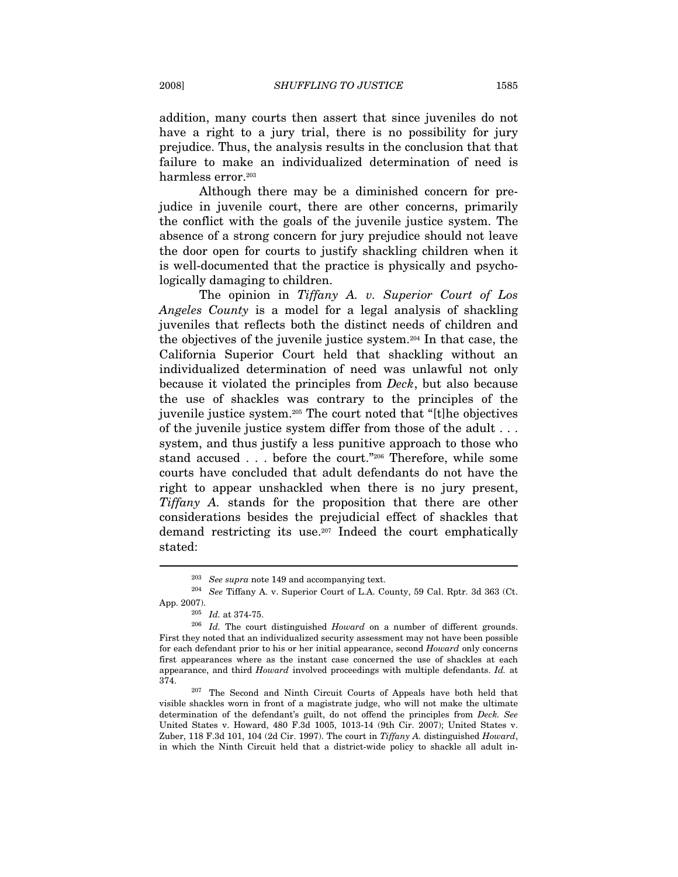addition, many courts then assert that since juveniles do not have a right to a jury trial, there is no possibility for jury prejudice. Thus, the analysis results in the conclusion that that failure to make an individualized determination of need is harmless error.<sup>203</sup>

Although there may be a diminished concern for prejudice in juvenile court, there are other concerns, primarily the conflict with the goals of the juvenile justice system. The absence of a strong concern for jury prejudice should not leave the door open for courts to justify shackling children when it is well-documented that the practice is physically and psychologically damaging to children.

The opinion in Tiffany A. v. Superior Court of Los Angeles County is a model for a legal analysis of shackling juveniles that reflects both the distinct needs of children and the objectives of the juvenile justice system.204 In that case, the California Superior Court held that shackling without an individualized determination of need was unlawful not only because it violated the principles from Deck, but also because the use of shackles was contrary to the principles of the juvenile justice system.205 The court noted that "[t]he objectives of the juvenile justice system differ from those of the adult . . . system, and thus justify a less punitive approach to those who stand accused . . . before the court."<sup>206</sup> Therefore, while some courts have concluded that adult defendants do not have the right to appear unshackled when there is no jury present, Tiffany A. stands for the proposition that there are other considerations besides the prejudicial effect of shackles that demand restricting its use.207 Indeed the court emphatically stated:

<sup>&</sup>lt;sup>203</sup> See supra note 149 and accompanying text.<br><sup>204</sup> See Tiffany A. v. Superior Court of L.A. County, 59 Cal. Rptr. 3d 363 (Ct.

App. 2007).<br><sup>205</sup> Id. at 374-75.<br><sup>206</sup> Id. The court distinguished Howard on a number of different grounds. First they noted that an individualized security assessment may not have been possible for each defendant prior to his or her initial appearance, second Howard only concerns first appearances where as the instant case concerned the use of shackles at each appearance, and third Howard involved proceedings with multiple defendants. Id. at 374. 207 The Second and Ninth Circuit Courts of Appeals have both held that

visible shackles worn in front of a magistrate judge, who will not make the ultimate determination of the defendant's guilt, do not offend the principles from Deck. See United States v. Howard, 480 F.3d 1005, 1013-14 (9th Cir. 2007); United States v. Zuber, 118 F.3d 101, 104 (2d Cir. 1997). The court in Tiffany A. distinguished Howard, in which the Ninth Circuit held that a district-wide policy to shackle all adult in-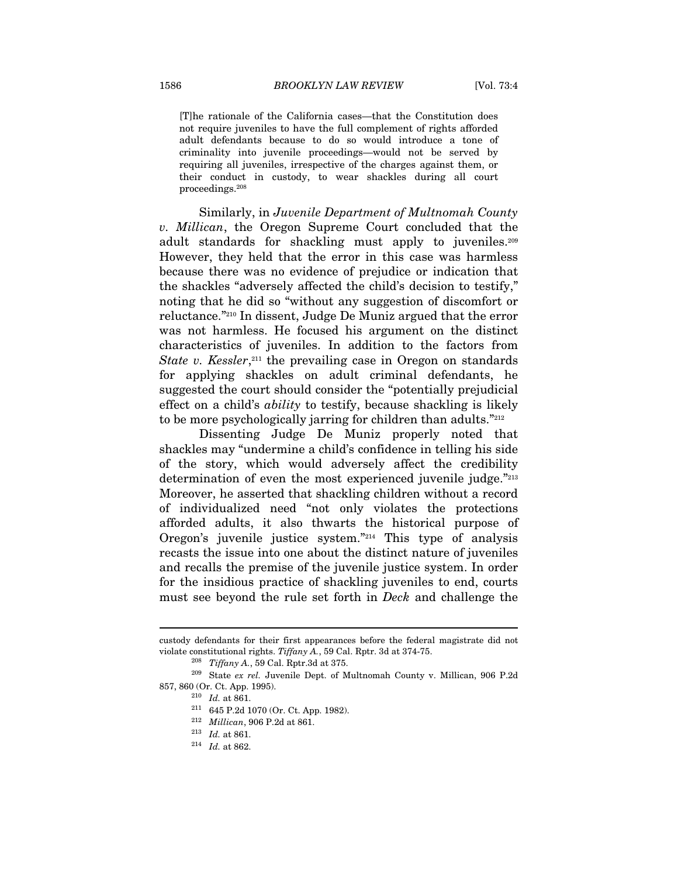[T]he rationale of the California cases—that the Constitution does not require juveniles to have the full complement of rights afforded adult defendants because to do so would introduce a tone of criminality into juvenile proceedings—would not be served by requiring all juveniles, irrespective of the charges against them, or their conduct in custody, to wear shackles during all court proceedings.208

Similarly, in Juvenile Department of Multnomah County v. Millican, the Oregon Supreme Court concluded that the adult standards for shackling must apply to juveniles.209 However, they held that the error in this case was harmless because there was no evidence of prejudice or indication that the shackles "adversely affected the child's decision to testify," noting that he did so "without any suggestion of discomfort or reluctance."210 In dissent, Judge De Muniz argued that the error was not harmless. He focused his argument on the distinct characteristics of juveniles. In addition to the factors from State v. Kessler,  $2^{11}$  the prevailing case in Oregon on standards for applying shackles on adult criminal defendants, he suggested the court should consider the "potentially prejudicial effect on a child's ability to testify, because shackling is likely to be more psychologically jarring for children than adults."<sup>212</sup>

Dissenting Judge De Muniz properly noted that shackles may "undermine a child's confidence in telling his side of the story, which would adversely affect the credibility determination of even the most experienced juvenile judge."213 Moreover, he asserted that shackling children without a record of individualized need "not only violates the protections afforded adults, it also thwarts the historical purpose of Oregon's juvenile justice system."214 This type of analysis recasts the issue into one about the distinct nature of juveniles and recalls the premise of the juvenile justice system. In order for the insidious practice of shackling juveniles to end, courts must see beyond the rule set forth in Deck and challenge the

custody defendants for their first appearances before the federal magistrate did not

violate constitutional rights. Tiffany A., 59 Cal. Rptr. 3d at 374-75.<br><sup>208</sup> Tiffany A., 59 Cal. Rptr.3d at 375.<br><sup>209</sup> State ex rel. Juvenile Dept. of Multnomah County v. Millican, 906 P.2d 857, 860 (Or. Ct. App. 1995).<br><sup>210</sup> Id. at 861.<br><sup>211</sup> 645 P.2d 1070 (Or. Ct. App. 1982).

<sup>&</sup>lt;sup>212</sup> *Millican*, 906 P.2d at 861.<br><sup>213</sup> *Id.* at 861.<br><sup>214</sup> *Id.* at 862.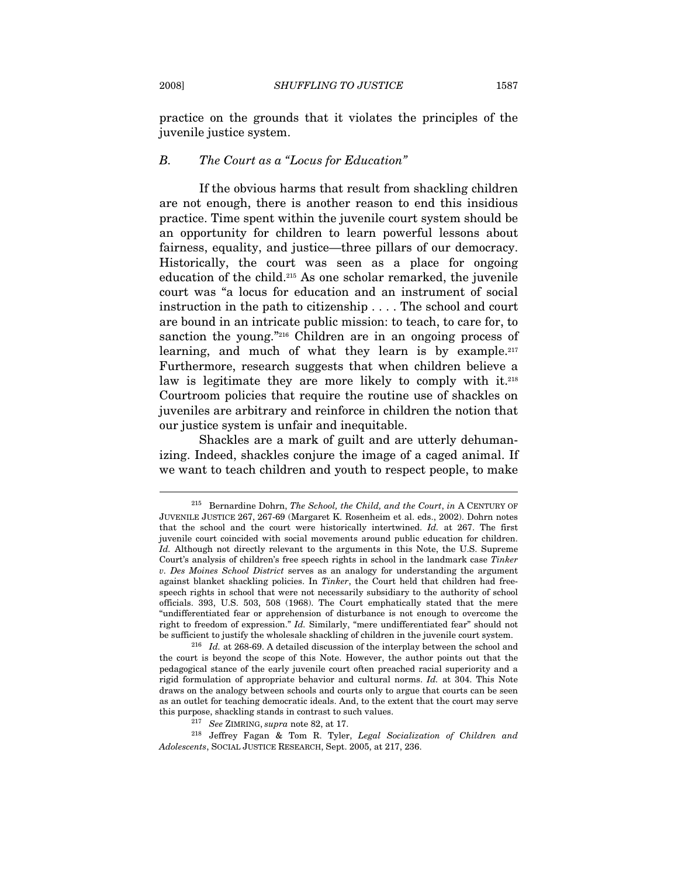practice on the grounds that it violates the principles of the juvenile justice system.

#### B. The Court as a "Locus for Education"

If the obvious harms that result from shackling children are not enough, there is another reason to end this insidious practice. Time spent within the juvenile court system should be an opportunity for children to learn powerful lessons about fairness, equality, and justice—three pillars of our democracy. Historically, the court was seen as a place for ongoing education of the child.215 As one scholar remarked, the juvenile court was "a locus for education and an instrument of social instruction in the path to citizenship . . . . The school and court are bound in an intricate public mission: to teach, to care for, to sanction the young."<sup>216</sup> Children are in an ongoing process of learning, and much of what they learn is by example.<sup>217</sup> Furthermore, research suggests that when children believe a law is legitimate they are more likely to comply with it.<sup>218</sup> Courtroom policies that require the routine use of shackles on juveniles are arbitrary and reinforce in children the notion that our justice system is unfair and inequitable.

Shackles are a mark of guilt and are utterly dehumanizing. Indeed, shackles conjure the image of a caged animal. If we want to teach children and youth to respect people, to make

<sup>&</sup>lt;sup>215</sup> Bernardine Dohrn, *The School, the Child, and the Court, in* A CENTURY OF JUVENILE JUSTICE 267, 267-69 (Margaret K. Rosenheim et al. eds., 2002). Dohrn notes that the school and the court were historically intertwined. Id. at 267. The first juvenile court coincided with social movements around public education for children. Id. Although not directly relevant to the arguments in this Note, the U.S. Supreme Court's analysis of children's free speech rights in school in the landmark case Tinker v. Des Moines School District serves as an analogy for understanding the argument against blanket shackling policies. In Tinker, the Court held that children had freespeech rights in school that were not necessarily subsidiary to the authority of school officials. 393, U.S. 503, 508 (1968). The Court emphatically stated that the mere "undifferentiated fear or apprehension of disturbance is not enough to overcome the right to freedom of expression." Id. Similarly, "mere undifferentiated fear" should not

be sufficient to justify the wholesale shackling of children in the juvenile court system.<br><sup>216</sup> Id. at 268-69. A detailed discussion of the interplay between the school and the court is beyond the scope of this Note. However, the author points out that the pedagogical stance of the early juvenile court often preached racial superiority and a rigid formulation of appropriate behavior and cultural norms. Id. at 304. This Note draws on the analogy between schools and courts only to argue that courts can be seen as an outlet for teaching democratic ideals. And, to the extent that the court may serve this purpose, shackling stands in contrast to such values.<br><sup>217</sup> See ZIMRING, supra note 82, at 17.<br><sup>218</sup> Jeffrey Fagan & Tom R. Tyler, *Legal Socialization of Children and* 

Adolescents, SOCIAL JUSTICE RESEARCH, Sept. 2005, at 217, 236.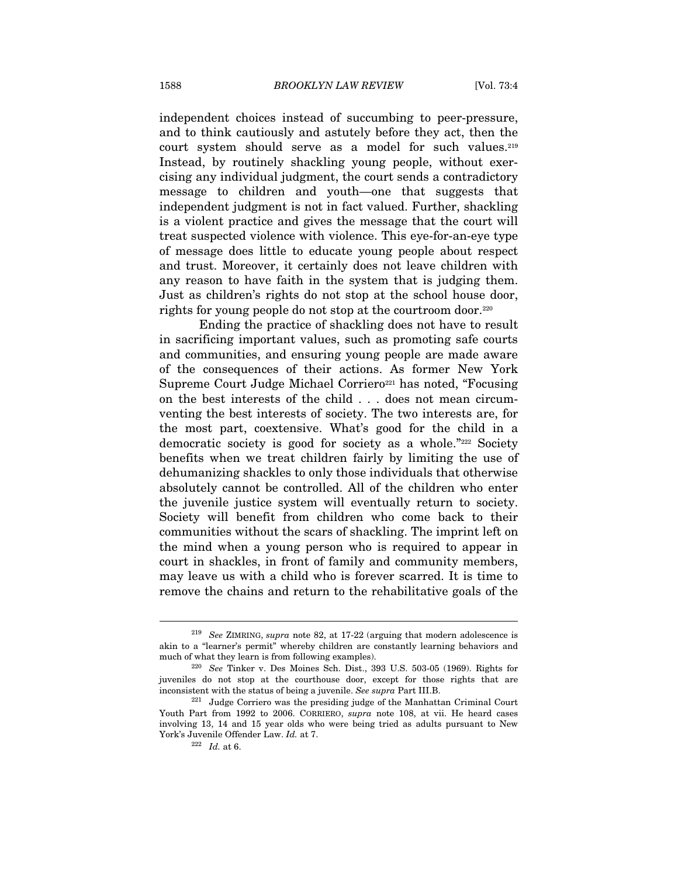independent choices instead of succumbing to peer-pressure, and to think cautiously and astutely before they act, then the court system should serve as a model for such values.<sup>219</sup> Instead, by routinely shackling young people, without exercising any individual judgment, the court sends a contradictory message to children and youth—one that suggests that independent judgment is not in fact valued. Further, shackling is a violent practice and gives the message that the court will treat suspected violence with violence. This eye-for-an-eye type of message does little to educate young people about respect and trust. Moreover, it certainly does not leave children with any reason to have faith in the system that is judging them. Just as children's rights do not stop at the school house door, rights for young people do not stop at the courtroom door.<sup>220</sup>

Ending the practice of shackling does not have to result in sacrificing important values, such as promoting safe courts and communities, and ensuring young people are made aware of the consequences of their actions. As former New York Supreme Court Judge Michael Corriero<sup>221</sup> has noted, "Focusing on the best interests of the child . . . does not mean circumventing the best interests of society. The two interests are, for the most part, coextensive. What's good for the child in a democratic society is good for society as a whole."222 Society benefits when we treat children fairly by limiting the use of dehumanizing shackles to only those individuals that otherwise absolutely cannot be controlled. All of the children who enter the juvenile justice system will eventually return to society. Society will benefit from children who come back to their communities without the scars of shackling. The imprint left on the mind when a young person who is required to appear in court in shackles, in front of family and community members, may leave us with a child who is forever scarred. It is time to remove the chains and return to the rehabilitative goals of the

<sup>&</sup>lt;sup>219</sup> See ZIMRING, supra note 82, at 17-22 (arguing that modern adolescence is akin to a "learner's permit" whereby children are constantly learning behaviors and much of what they learn is from following examples). 220 See Tinker v. Des Moines Sch. Dist., 393 U.S. 503-05 (1969). Rights for

juveniles do not stop at the courthouse door, except for those rights that are inconsistent with the status of being a juvenile. See supra Part III.B.<br><sup>221</sup> Judge Corriero was the presiding judge of the Manhattan Criminal Court

Youth Part from 1992 to 2006. CORRIERO, supra note 108, at vii. He heard cases involving 13, 14 and 15 year olds who were being tried as adults pursuant to New York's Juvenile Offender Law. *Id.* at 7.<br> $^{222}$  *Id.* at 6.